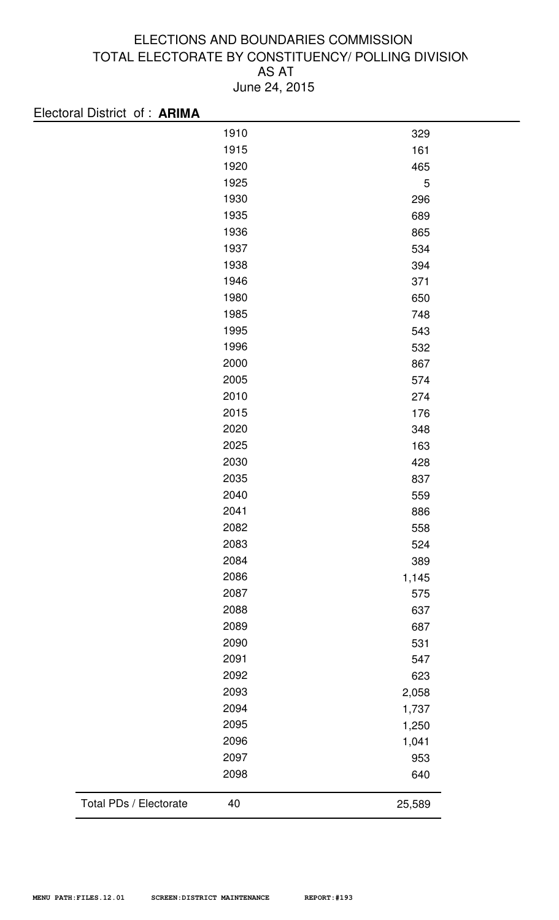| Electoral District of: ARIMA |      |        |
|------------------------------|------|--------|
|                              | 1910 | 329    |
|                              | 1915 | 161    |
|                              | 1920 | 465    |
|                              | 1925 | 5      |
|                              | 1930 | 296    |
|                              | 1935 | 689    |
|                              | 1936 | 865    |
|                              | 1937 | 534    |
|                              | 1938 | 394    |
|                              | 1946 | 371    |
|                              | 1980 | 650    |
|                              | 1985 | 748    |
|                              | 1995 | 543    |
|                              | 1996 | 532    |
|                              | 2000 | 867    |
|                              | 2005 | 574    |
|                              | 2010 | 274    |
|                              | 2015 | 176    |
|                              | 2020 | 348    |
|                              | 2025 | 163    |
|                              | 2030 | 428    |
|                              | 2035 | 837    |
|                              | 2040 | 559    |
|                              | 2041 | 886    |
|                              | 2082 | 558    |
|                              | 2083 | 524    |
|                              | 2084 | 389    |
|                              | 2086 | 1,145  |
|                              | 2087 | 575    |
|                              | 2088 | 637    |
|                              | 2089 | 687    |
|                              | 2090 | 531    |
|                              | 2091 | 547    |
|                              | 2092 | 623    |
|                              | 2093 | 2,058  |
|                              | 2094 | 1,737  |
|                              | 2095 | 1,250  |
|                              | 2096 | 1,041  |
|                              | 2097 | 953    |
|                              | 2098 | 640    |
| Total PDs / Electorate       | 40   | 25,589 |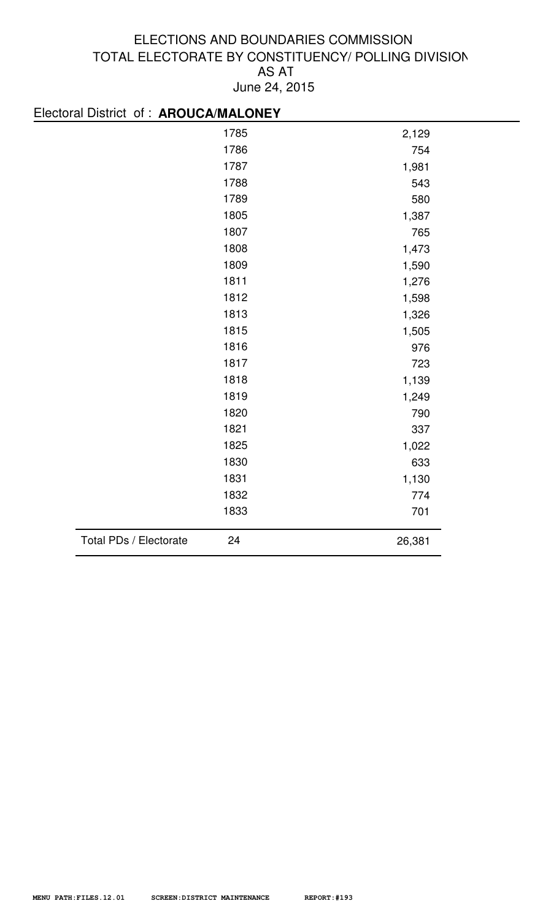| Electoral District of : AROUCA/MALONEY |      |        |
|----------------------------------------|------|--------|
|                                        | 1785 | 2,129  |
|                                        | 1786 | 754    |
|                                        | 1787 | 1,981  |
|                                        | 1788 | 543    |
|                                        | 1789 | 580    |
|                                        | 1805 | 1,387  |
|                                        | 1807 | 765    |
|                                        | 1808 | 1,473  |
|                                        | 1809 | 1,590  |
|                                        | 1811 | 1,276  |
|                                        | 1812 | 1,598  |
|                                        | 1813 | 1,326  |
|                                        | 1815 | 1,505  |
|                                        | 1816 | 976    |
|                                        | 1817 | 723    |
|                                        | 1818 | 1,139  |
|                                        | 1819 | 1,249  |
|                                        | 1820 | 790    |
|                                        | 1821 | 337    |
|                                        | 1825 | 1,022  |
|                                        | 1830 | 633    |
|                                        | 1831 | 1,130  |
|                                        | 1832 | 774    |
|                                        | 1833 | 701    |
| Total PDs / Electorate                 | 24   | 26,381 |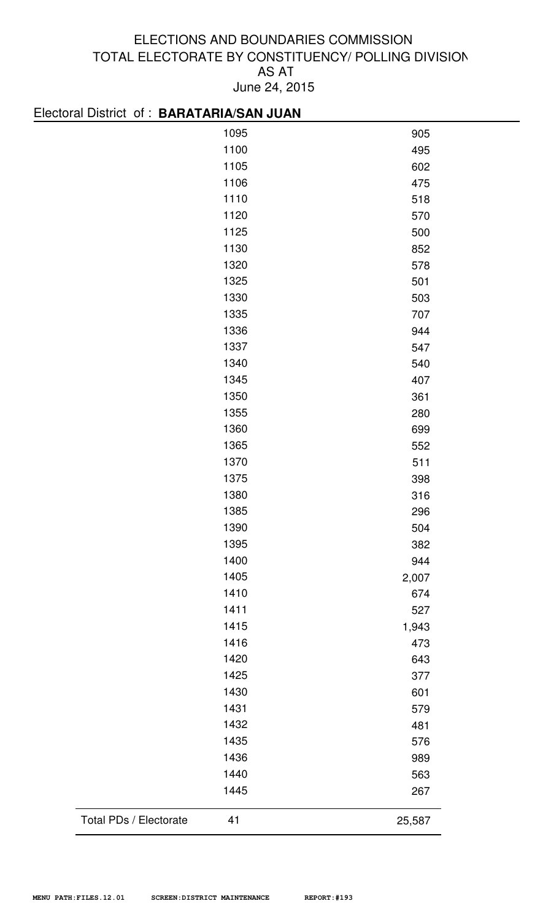| Electoral District of: BARATARIA/SAN JUAN |      |        |
|-------------------------------------------|------|--------|
|                                           | 1095 | 905    |
|                                           | 1100 | 495    |
|                                           | 1105 | 602    |
|                                           | 1106 | 475    |
|                                           | 1110 | 518    |
|                                           | 1120 | 570    |
|                                           | 1125 | 500    |
|                                           | 1130 | 852    |
|                                           | 1320 | 578    |
|                                           | 1325 | 501    |
|                                           | 1330 | 503    |
|                                           | 1335 | 707    |
|                                           | 1336 | 944    |
|                                           | 1337 | 547    |
|                                           | 1340 | 540    |
|                                           | 1345 | 407    |
|                                           | 1350 | 361    |
|                                           | 1355 | 280    |
|                                           | 1360 | 699    |
|                                           | 1365 | 552    |
|                                           | 1370 | 511    |
|                                           | 1375 | 398    |
|                                           | 1380 | 316    |
|                                           | 1385 | 296    |
|                                           | 1390 | 504    |
|                                           | 1395 | 382    |
|                                           | 1400 | 944    |
|                                           | 1405 | 2,007  |
|                                           | 1410 | 674    |
|                                           | 1411 | 527    |
|                                           | 1415 | 1,943  |
|                                           | 1416 | 473    |
|                                           | 1420 | 643    |
|                                           | 1425 | 377    |
|                                           | 1430 | 601    |
|                                           | 1431 | 579    |
|                                           | 1432 | 481    |
|                                           | 1435 | 576    |
|                                           | 1436 | 989    |
|                                           | 1440 | 563    |
|                                           | 1445 | 267    |
| Total PDs / Electorate                    | 41   | 25,587 |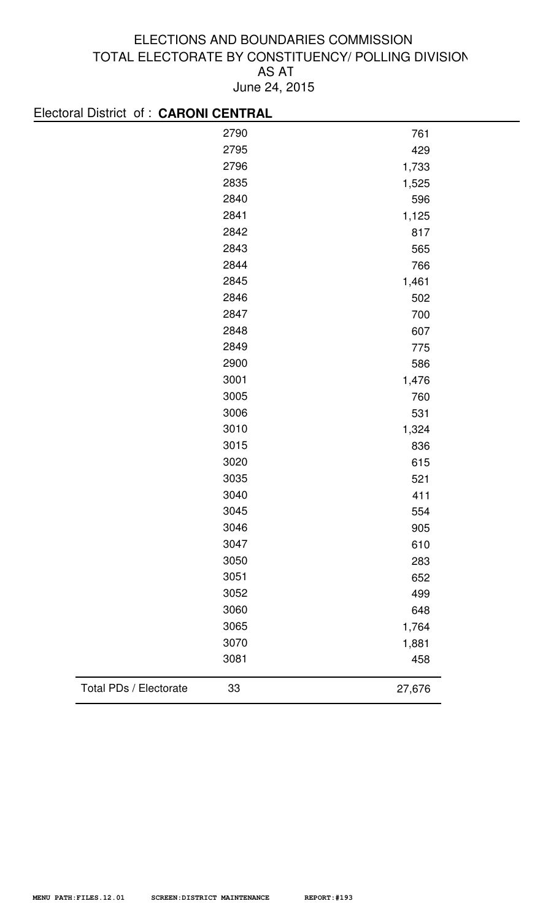| Electoral District of: CARONI CENTRAL |        |
|---------------------------------------|--------|
| 2790                                  | 761    |
| 2795                                  | 429    |
| 2796                                  | 1,733  |
| 2835                                  | 1,525  |
| 2840                                  | 596    |
| 2841                                  | 1,125  |
| 2842                                  | 817    |
| 2843                                  | 565    |
| 2844                                  | 766    |
| 2845                                  | 1,461  |
| 2846                                  | 502    |
| 2847                                  | 700    |
| 2848                                  | 607    |
| 2849                                  | 775    |
| 2900                                  | 586    |
| 3001                                  | 1,476  |
| 3005                                  | 760    |
| 3006                                  | 531    |
| 3010                                  | 1,324  |
| 3015                                  | 836    |
| 3020                                  | 615    |
| 3035                                  | 521    |
| 3040                                  | 411    |
| 3045                                  | 554    |
| 3046                                  | 905    |
| 3047                                  | 610    |
| 3050                                  | 283    |
| 3051                                  | 652    |
| 3052                                  | 499    |
| 3060                                  | 648    |
| 3065                                  | 1,764  |
| 3070                                  | 1,881  |
| 3081                                  | 458    |
| Total PDs / Electorate<br>33          | 27,676 |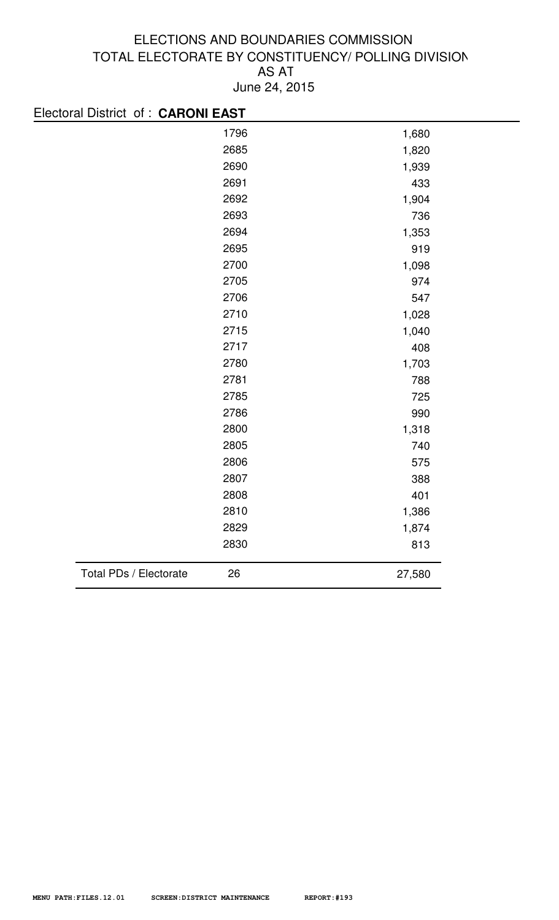| Electoral District of: CARONI EAST |      |        |  |
|------------------------------------|------|--------|--|
|                                    | 1796 | 1,680  |  |
|                                    | 2685 | 1,820  |  |
|                                    | 2690 | 1,939  |  |
|                                    | 2691 | 433    |  |
|                                    | 2692 | 1,904  |  |
|                                    | 2693 | 736    |  |
|                                    | 2694 | 1,353  |  |
|                                    | 2695 | 919    |  |
|                                    | 2700 | 1,098  |  |
|                                    | 2705 | 974    |  |
|                                    | 2706 | 547    |  |
|                                    | 2710 | 1,028  |  |
|                                    | 2715 | 1,040  |  |
|                                    | 2717 | 408    |  |
|                                    | 2780 | 1,703  |  |
|                                    | 2781 | 788    |  |
|                                    | 2785 | 725    |  |
|                                    | 2786 | 990    |  |
|                                    | 2800 | 1,318  |  |
|                                    | 2805 | 740    |  |
|                                    | 2806 | 575    |  |
|                                    | 2807 | 388    |  |
|                                    | 2808 | 401    |  |
|                                    | 2810 | 1,386  |  |
|                                    | 2829 | 1,874  |  |
|                                    | 2830 | 813    |  |
| Total PDs / Electorate             | 26   | 27,580 |  |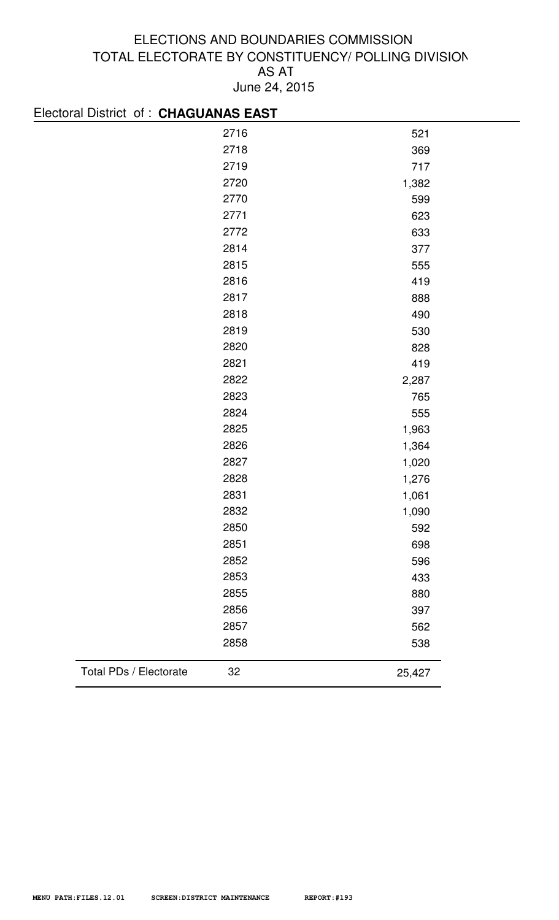| Electoral District of: CHAGUANAS EAST |      |        |
|---------------------------------------|------|--------|
|                                       | 2716 | 521    |
|                                       | 2718 | 369    |
|                                       | 2719 | 717    |
|                                       | 2720 | 1,382  |
|                                       | 2770 | 599    |
|                                       | 2771 | 623    |
|                                       | 2772 | 633    |
|                                       | 2814 | 377    |
|                                       | 2815 | 555    |
|                                       | 2816 | 419    |
|                                       | 2817 | 888    |
|                                       | 2818 | 490    |
|                                       | 2819 | 530    |
|                                       | 2820 | 828    |
|                                       | 2821 | 419    |
|                                       | 2822 | 2,287  |
|                                       | 2823 | 765    |
|                                       | 2824 | 555    |
|                                       | 2825 | 1,963  |
|                                       | 2826 | 1,364  |
|                                       | 2827 | 1,020  |
|                                       | 2828 | 1,276  |
|                                       | 2831 | 1,061  |
|                                       | 2832 | 1,090  |
|                                       | 2850 | 592    |
|                                       | 2851 | 698    |
|                                       | 2852 | 596    |
|                                       | 2853 | 433    |
|                                       | 2855 | 880    |
|                                       | 2856 | 397    |
|                                       | 2857 | 562    |
|                                       | 2858 | 538    |
| Total PDs / Electorate                | 32   | 25,427 |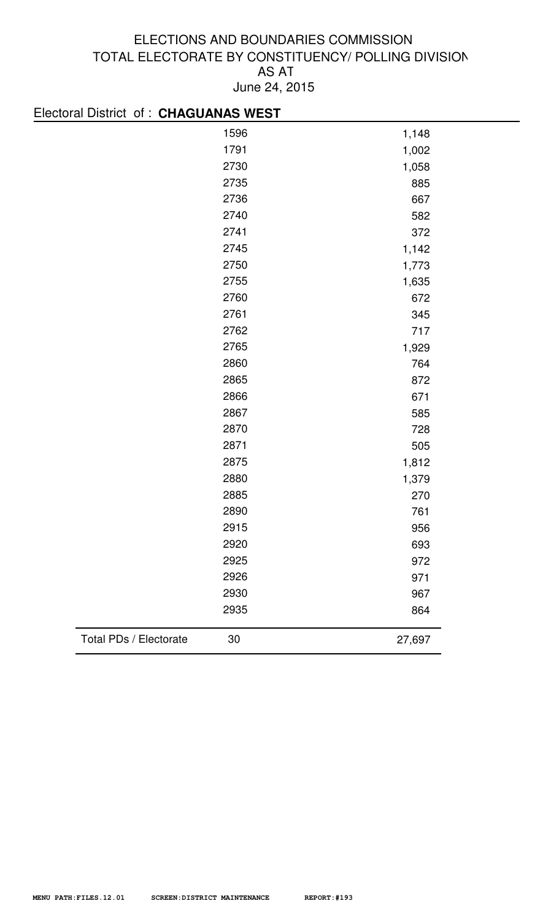| Electoral District of : CHAGUANAS WEST |      |        |
|----------------------------------------|------|--------|
|                                        | 1596 | 1,148  |
|                                        | 1791 | 1,002  |
|                                        | 2730 | 1,058  |
|                                        | 2735 | 885    |
|                                        | 2736 | 667    |
|                                        | 2740 | 582    |
|                                        | 2741 | 372    |
|                                        | 2745 | 1,142  |
|                                        | 2750 | 1,773  |
|                                        | 2755 | 1,635  |
|                                        | 2760 | 672    |
|                                        | 2761 | 345    |
|                                        | 2762 | 717    |
|                                        | 2765 | 1,929  |
|                                        | 2860 | 764    |
|                                        | 2865 | 872    |
|                                        | 2866 | 671    |
|                                        | 2867 | 585    |
|                                        | 2870 | 728    |
|                                        | 2871 | 505    |
|                                        | 2875 | 1,812  |
|                                        | 2880 | 1,379  |
|                                        | 2885 | 270    |
|                                        | 2890 | 761    |
|                                        | 2915 | 956    |
|                                        | 2920 | 693    |
|                                        | 2925 | 972    |
|                                        | 2926 | 971    |
|                                        | 2930 | 967    |
|                                        | 2935 | 864    |
| Total PDs / Electorate                 | 30   | 27,697 |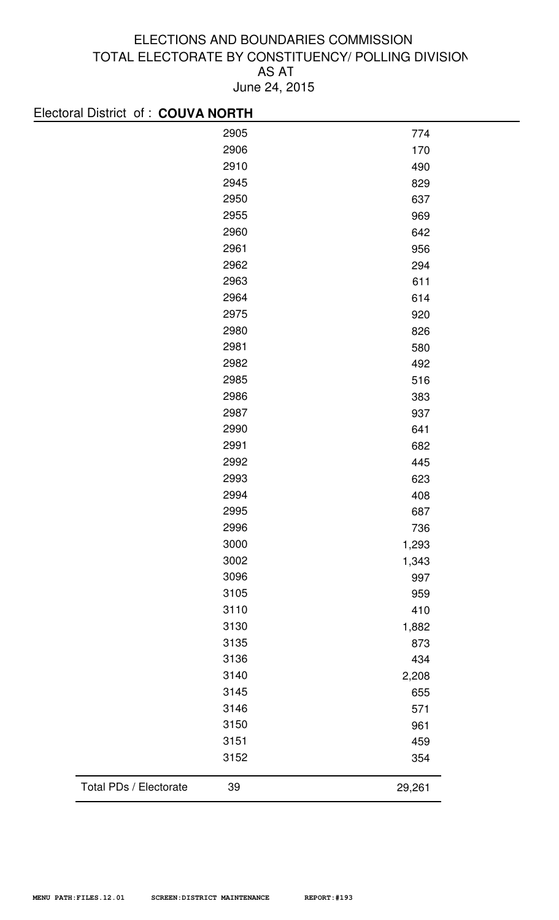| Electoral District of: COUVA NORTH |      |        |
|------------------------------------|------|--------|
|                                    | 2905 | 774    |
|                                    | 2906 | 170    |
|                                    | 2910 | 490    |
|                                    | 2945 | 829    |
|                                    | 2950 | 637    |
|                                    | 2955 | 969    |
|                                    | 2960 | 642    |
|                                    | 2961 | 956    |
|                                    | 2962 | 294    |
|                                    | 2963 | 611    |
|                                    | 2964 | 614    |
|                                    | 2975 | 920    |
|                                    | 2980 | 826    |
|                                    | 2981 | 580    |
|                                    | 2982 | 492    |
|                                    | 2985 | 516    |
|                                    | 2986 | 383    |
|                                    | 2987 | 937    |
|                                    | 2990 | 641    |
|                                    | 2991 | 682    |
|                                    | 2992 | 445    |
|                                    | 2993 | 623    |
|                                    | 2994 | 408    |
|                                    | 2995 | 687    |
|                                    | 2996 | 736    |
|                                    | 3000 | 1,293  |
|                                    | 3002 | 1,343  |
|                                    | 3096 | 997    |
|                                    | 3105 | 959    |
|                                    | 3110 | 410    |
|                                    | 3130 | 1,882  |
|                                    | 3135 | 873    |
|                                    | 3136 | 434    |
|                                    | 3140 | 2,208  |
|                                    | 3145 | 655    |
|                                    | 3146 | 571    |
|                                    | 3150 | 961    |
|                                    | 3151 | 459    |
|                                    | 3152 | 354    |
| Total PDs / Electorate             | 39   | 29,261 |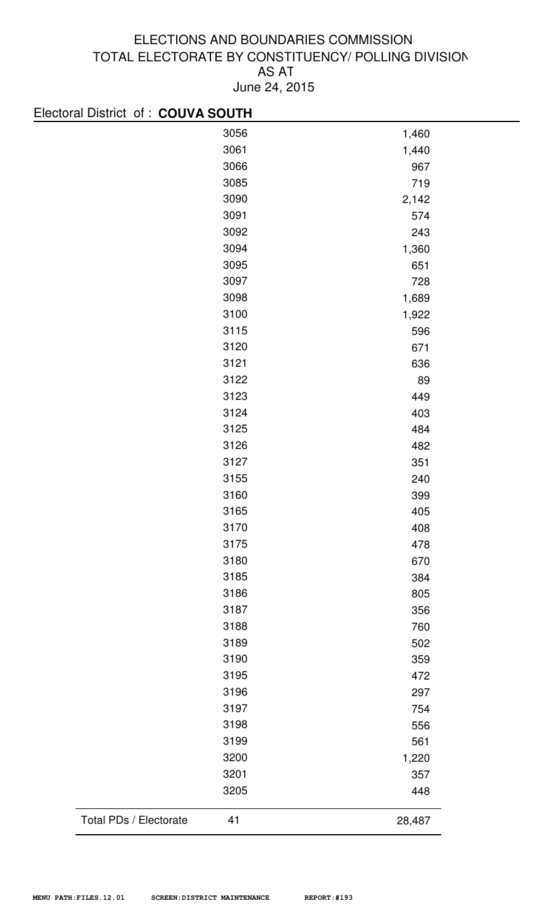| Electoral District of: COUVA SOUTH |        |
|------------------------------------|--------|
| 3056                               | 1,460  |
| 3061                               | 1,440  |
| 3066                               | 967    |
| 3085                               | 719    |
| 3090                               | 2,142  |
| 3091                               | 574    |
| 3092                               | 243    |
| 3094                               | 1,360  |
| 3095                               | 651    |
| 3097                               | 728    |
| 3098                               | 1,689  |
| 3100                               | 1,922  |
| 3115                               | 596    |
| 3120                               | 671    |
| 3121                               | 636    |
| 3122                               | 89     |
| 3123                               | 449    |
| 3124                               | 403    |
| 3125                               | 484    |
| 3126                               | 482    |
| 3127                               | 351    |
| 3155                               | 240    |
| 3160                               | 399    |
| 3165                               | 405    |
| 3170                               | 408    |
| 3175                               | 478    |
| 3180                               | 670    |
| 3185                               | 384    |
| 3186                               | 805    |
| 3187                               | 356    |
| 3188                               | 760    |
| 3189                               | 502    |
| 3190                               | 359    |
| 3195                               | 472    |
| 3196                               | 297    |
| 3197                               | 754    |
| 3198                               | 556    |
| 3199                               | 561    |
| 3200                               | 1,220  |
| 3201                               | 357    |
| 3205                               | 448    |
| Total PDs / Electorate<br>41       | 28,487 |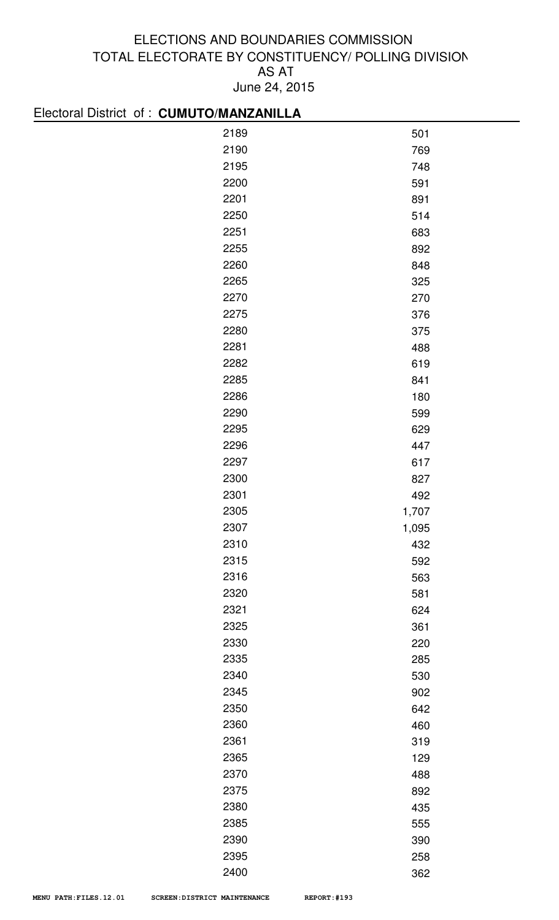# Electoral District of : **CUMUTO/MANZANILLA**

| $100000$ and $0000000$ and $100000$ and $100000$ and $100000$ |       |
|---------------------------------------------------------------|-------|
| 2189                                                          | 501   |
| 2190                                                          | 769   |
| 2195                                                          | 748   |
| 2200                                                          | 591   |
| 2201                                                          | 891   |
| 2250                                                          | 514   |
| 2251                                                          | 683   |
| 2255                                                          | 892   |
| 2260                                                          | 848   |
| 2265                                                          | 325   |
| 2270                                                          | 270   |
| 2275                                                          | 376   |
| 2280                                                          | 375   |
| 2281                                                          | 488   |
| 2282                                                          | 619   |
| 2285                                                          | 841   |
| 2286                                                          | 180   |
| 2290                                                          | 599   |
| 2295                                                          | 629   |
| 2296                                                          | 447   |
| 2297                                                          | 617   |
| 2300                                                          | 827   |
| 2301                                                          | 492   |
| 2305                                                          | 1,707 |
| 2307                                                          | 1,095 |
| 2310                                                          | 432   |
| 2315                                                          | 592   |
| 2316                                                          | 563   |
| 2320                                                          | 581   |
| 2321                                                          | 624   |
| 2325                                                          | 361   |
| 2330                                                          | 220   |
| 2335                                                          | 285   |
| 2340                                                          | 530   |
| 2345                                                          | 902   |
| 2350                                                          | 642   |
| 2360                                                          | 460   |
| 2361                                                          | 319   |
| 2365                                                          | 129   |
| 2370                                                          | 488   |
| 2375                                                          | 892   |
| 2380                                                          | 435   |
| 2385                                                          | 555   |
| 2390                                                          | 390   |
| 2395                                                          | 258   |
| 2400                                                          | 362   |
|                                                               |       |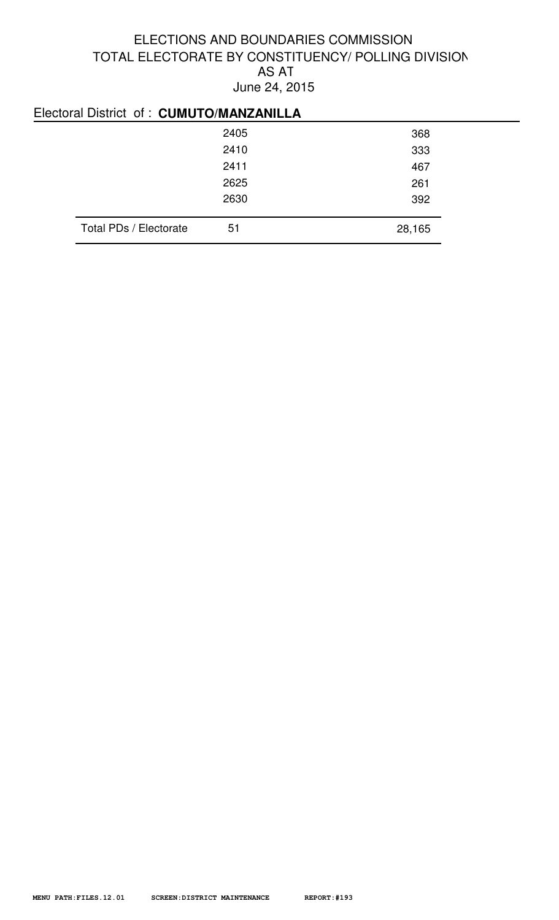# Electoral District of : **CUMUTO/MANZANILLA**

|                        | 2405 | 368    |
|------------------------|------|--------|
|                        | 2410 | 333    |
|                        | 2411 | 467    |
|                        | 2625 | 261    |
|                        | 2630 | 392    |
|                        |      |        |
| Total PDs / Electorate | 51   | 28,165 |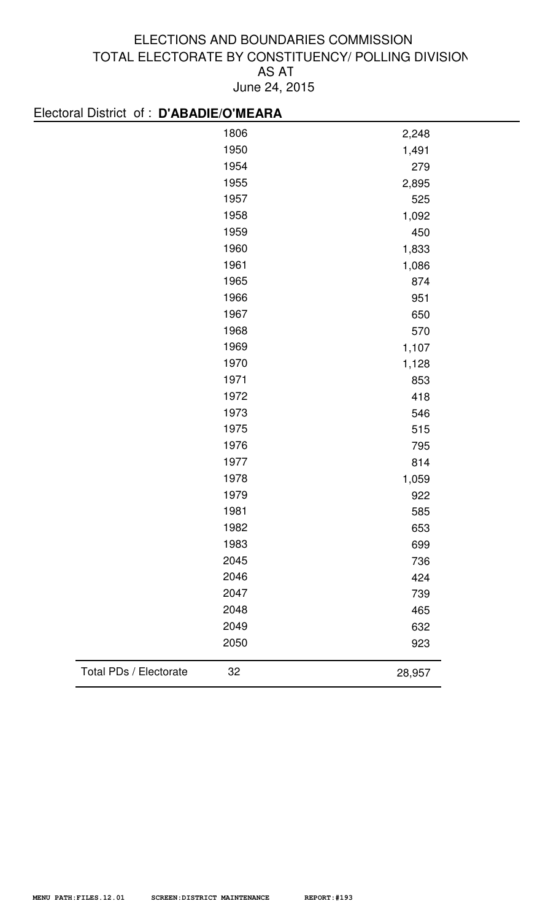| Electoral District of : D'ABADIE/O'MEARA |        |
|------------------------------------------|--------|
| 1806                                     | 2,248  |
| 1950                                     | 1,491  |
| 1954                                     | 279    |
| 1955                                     | 2,895  |
| 1957                                     | 525    |
| 1958                                     | 1,092  |
| 1959                                     | 450    |
| 1960                                     | 1,833  |
| 1961                                     | 1,086  |
| 1965                                     | 874    |
| 1966                                     | 951    |
| 1967                                     | 650    |
| 1968                                     | 570    |
| 1969                                     | 1,107  |
| 1970                                     | 1,128  |
| 1971                                     | 853    |
| 1972                                     | 418    |
| 1973                                     | 546    |
| 1975                                     | 515    |
| 1976                                     | 795    |
| 1977                                     | 814    |
| 1978                                     | 1,059  |
| 1979                                     | 922    |
| 1981                                     | 585    |
| 1982                                     | 653    |
| 1983                                     | 699    |
| 2045                                     | 736    |
| 2046                                     | 424    |
| 2047                                     | 739    |
| 2048                                     | 465    |
| 2049                                     | 632    |
| 2050                                     | 923    |
| Total PDs / Electorate<br>32             | 28,957 |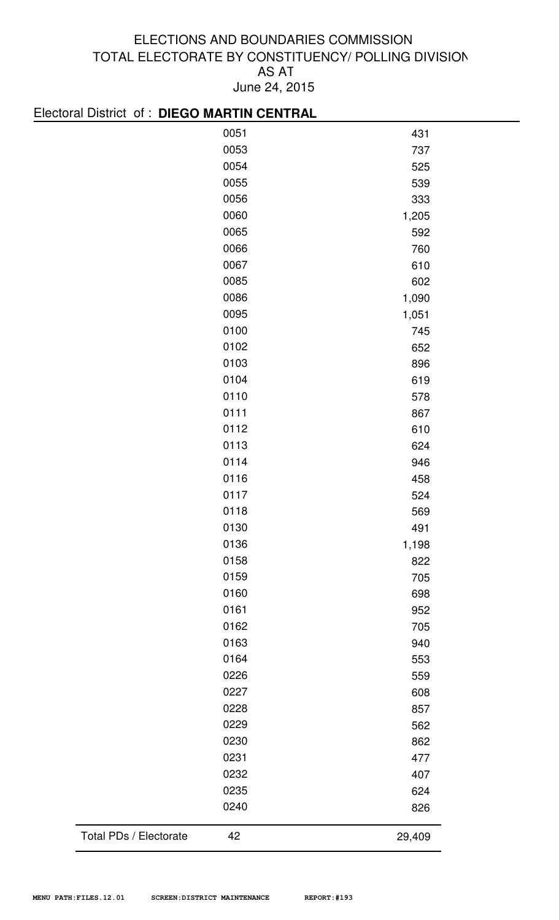# Electoral District of : **DIEGO MARTIN CENTRAL**

|                        | 0051 | 431    |
|------------------------|------|--------|
|                        | 0053 | 737    |
|                        | 0054 | 525    |
|                        | 0055 | 539    |
|                        | 0056 | 333    |
|                        | 0060 | 1,205  |
|                        | 0065 | 592    |
|                        | 0066 | 760    |
|                        | 0067 | 610    |
|                        | 0085 | 602    |
|                        | 0086 | 1,090  |
|                        | 0095 | 1,051  |
|                        | 0100 | 745    |
|                        | 0102 | 652    |
|                        | 0103 | 896    |
|                        | 0104 | 619    |
|                        | 0110 | 578    |
|                        | 0111 | 867    |
|                        | 0112 | 610    |
|                        | 0113 | 624    |
|                        | 0114 | 946    |
|                        | 0116 | 458    |
|                        | 0117 | 524    |
|                        | 0118 | 569    |
|                        | 0130 | 491    |
|                        | 0136 | 1,198  |
|                        | 0158 | 822    |
|                        | 0159 | 705    |
|                        | 0160 | 698    |
|                        | 0161 | 952    |
|                        | 0162 | 705    |
|                        | 0163 | 940    |
|                        | 0164 | 553    |
|                        | 0226 | 559    |
|                        | 0227 | 608    |
|                        | 0228 | 857    |
|                        | 0229 | 562    |
|                        | 0230 | 862    |
|                        | 0231 | 477    |
|                        | 0232 | 407    |
|                        | 0235 | 624    |
|                        | 0240 | 826    |
|                        |      |        |
| Total PDs / Electorate | 42   | 29,409 |
|                        |      |        |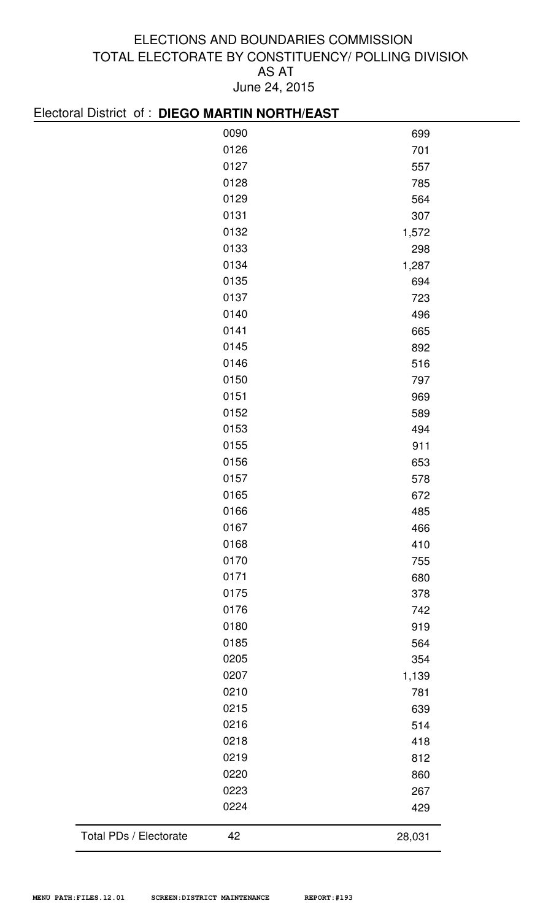| LICCIOLO DISTICTO I DILUO MAITIN NOTITI/LAO I |      |        |
|-----------------------------------------------|------|--------|
|                                               | 0090 | 699    |
|                                               | 0126 | 701    |
|                                               | 0127 | 557    |
|                                               | 0128 | 785    |
|                                               | 0129 | 564    |
|                                               | 0131 | 307    |
|                                               | 0132 | 1,572  |
|                                               | 0133 | 298    |
|                                               | 0134 | 1,287  |
|                                               | 0135 | 694    |
|                                               | 0137 | 723    |
|                                               | 0140 | 496    |
|                                               | 0141 | 665    |
|                                               | 0145 | 892    |
|                                               | 0146 | 516    |
|                                               | 0150 | 797    |
|                                               | 0151 | 969    |
|                                               | 0152 | 589    |
|                                               | 0153 | 494    |
|                                               | 0155 | 911    |
|                                               | 0156 | 653    |
|                                               | 0157 | 578    |
|                                               | 0165 | 672    |
|                                               | 0166 | 485    |
|                                               | 0167 | 466    |
|                                               | 0168 | 410    |
|                                               | 0170 | 755    |
|                                               | 0171 | 680    |
|                                               | 0175 | 378    |
|                                               | 0176 | 742    |
|                                               | 0180 | 919    |
|                                               | 0185 | 564    |
|                                               | 0205 | 354    |
|                                               | 0207 | 1,139  |
|                                               | 0210 | 781    |
|                                               | 0215 | 639    |
|                                               | 0216 | 514    |
|                                               | 0218 | 418    |
|                                               | 0219 | 812    |
|                                               | 0220 | 860    |
|                                               | 0223 | 267    |
|                                               | 0224 | 429    |
| Total PDs / Electorate                        | 42   | 28,031 |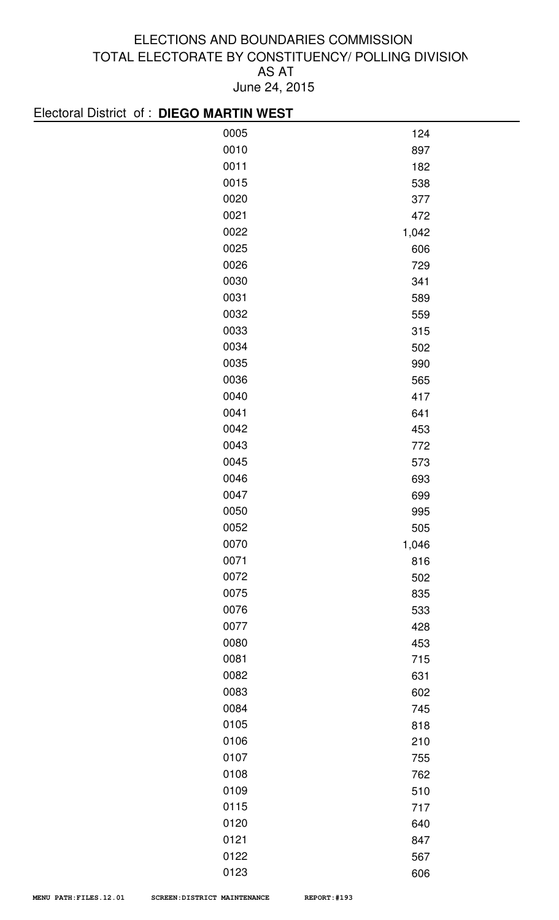| Electoral District of : DIEGO MARTIN WEST |       |
|-------------------------------------------|-------|
| 0005                                      | 124   |
| 0010                                      | 897   |
| 0011                                      | 182   |
| 0015                                      | 538   |
| 0020                                      | 377   |
| 0021                                      | 472   |
| 0022                                      | 1,042 |
| 0025                                      | 606   |
| 0026                                      | 729   |
| 0030                                      | 341   |
| 0031                                      | 589   |
| 0032                                      | 559   |
| 0033                                      | 315   |
| 0034                                      | 502   |
| 0035                                      | 990   |
| 0036                                      | 565   |
| 0040                                      | 417   |
| 0041                                      | 641   |
| 0042                                      | 453   |
| 0043                                      | 772   |
| 0045                                      | 573   |
| 0046                                      | 693   |
| 0047                                      | 699   |
| 0050                                      | 995   |
| 0052                                      | 505   |
| 0070                                      | 1,046 |
| 0071                                      | 816   |
| 0072                                      | 502   |
| 0075                                      | 835   |
| 0076                                      | 533   |
| 0077                                      | 428   |
| 0080                                      | 453   |
| 0081                                      | 715   |
| 0082                                      | 631   |
| 0083                                      | 602   |
| 0084                                      | 745   |
| 0105                                      | 818   |
| 0106                                      | 210   |
| 0107                                      | 755   |
| 0108                                      | 762   |
| 0109                                      | 510   |
| 0115                                      | 717   |
| 0120                                      | 640   |
| 0121                                      | 847   |
| 0122                                      | 567   |

606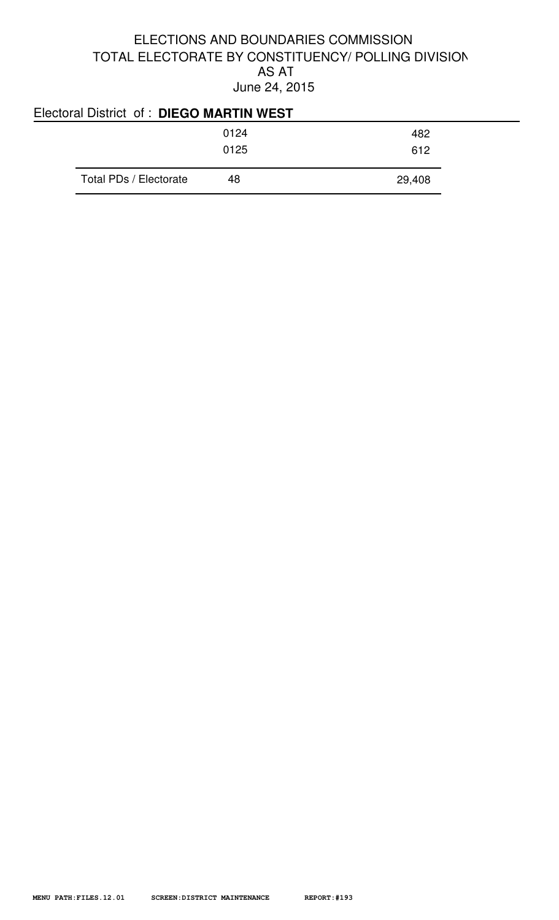| Electoral District of: DIEGO MARTIN WEST |      |        |
|------------------------------------------|------|--------|
|                                          | 0124 | 482    |
|                                          | 0125 | 612    |
| Total PDs / Electorate                   | 48   | 29,408 |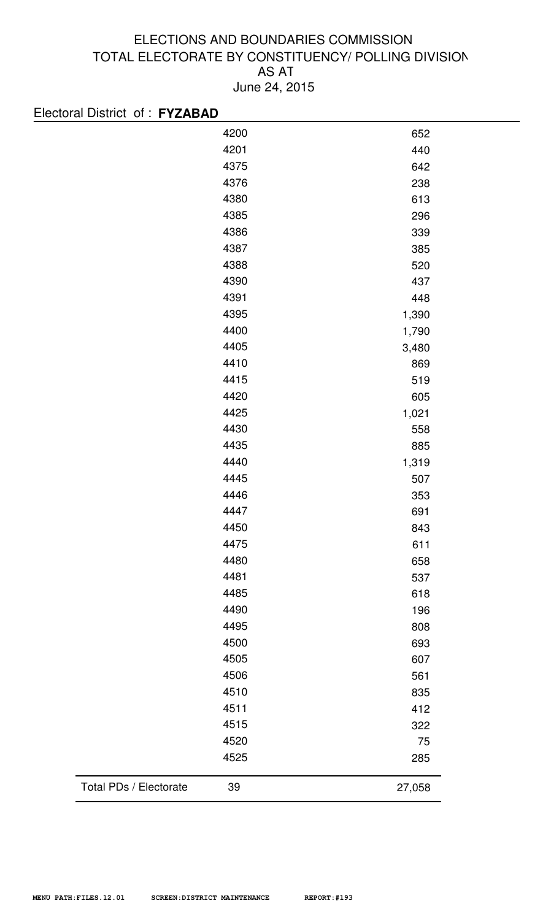| Electoral District of: FYZABAD |      |        |
|--------------------------------|------|--------|
|                                | 4200 | 652    |
|                                | 4201 | 440    |
|                                | 4375 | 642    |
|                                | 4376 | 238    |
|                                | 4380 | 613    |
|                                | 4385 | 296    |
|                                | 4386 | 339    |
|                                | 4387 | 385    |
|                                | 4388 | 520    |
|                                | 4390 | 437    |
|                                | 4391 | 448    |
|                                | 4395 | 1,390  |
|                                | 4400 | 1,790  |
|                                | 4405 | 3,480  |
|                                | 4410 | 869    |
|                                | 4415 | 519    |
|                                | 4420 | 605    |
|                                | 4425 | 1,021  |
|                                | 4430 | 558    |
|                                | 4435 | 885    |
|                                | 4440 | 1,319  |
|                                | 4445 | 507    |
|                                | 4446 | 353    |
|                                | 4447 | 691    |
|                                | 4450 | 843    |
|                                | 4475 | 611    |
|                                | 4480 | 658    |
|                                | 4481 | 537    |
|                                | 4485 | 618    |
|                                | 4490 | 196    |
|                                | 4495 | 808    |
|                                | 4500 | 693    |
|                                | 4505 | 607    |
|                                | 4506 | 561    |
|                                | 4510 | 835    |
|                                | 4511 | 412    |
|                                | 4515 | 322    |
|                                | 4520 | 75     |
|                                | 4525 | 285    |
| Total PDs / Electorate         | 39   | 27,058 |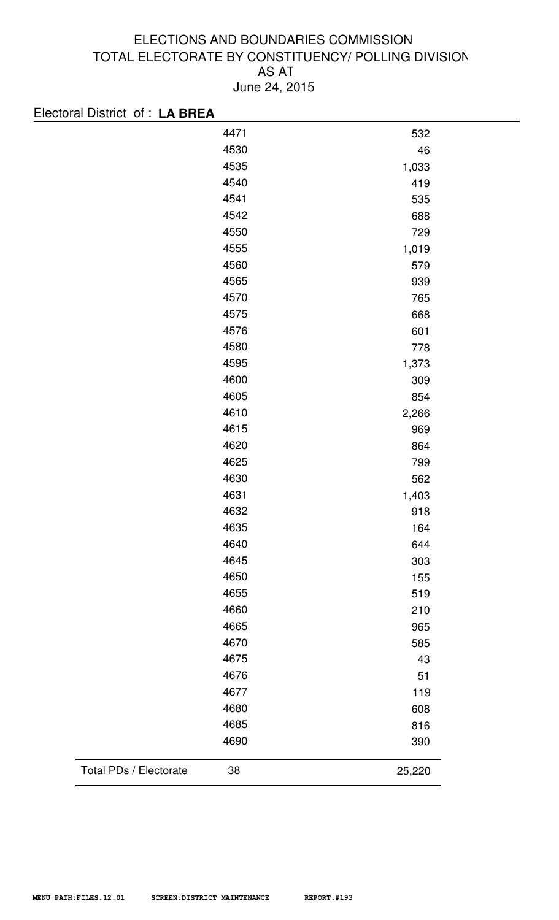| Electoral District of : LA BREA |      |        |
|---------------------------------|------|--------|
|                                 | 4471 | 532    |
|                                 | 4530 | 46     |
|                                 | 4535 | 1,033  |
|                                 | 4540 | 419    |
|                                 | 4541 | 535    |
|                                 | 4542 | 688    |
|                                 | 4550 | 729    |
|                                 | 4555 | 1,019  |
|                                 | 4560 | 579    |
|                                 | 4565 | 939    |
|                                 | 4570 | 765    |
|                                 | 4575 | 668    |
|                                 | 4576 | 601    |
|                                 | 4580 | 778    |
|                                 | 4595 | 1,373  |
|                                 | 4600 | 309    |
|                                 | 4605 | 854    |
|                                 | 4610 | 2,266  |
|                                 | 4615 | 969    |
|                                 | 4620 | 864    |
|                                 | 4625 | 799    |
|                                 | 4630 | 562    |
|                                 | 4631 | 1,403  |
|                                 | 4632 | 918    |
|                                 | 4635 | 164    |
|                                 | 4640 | 644    |
|                                 | 4645 | 303    |
|                                 | 4650 | 155    |
|                                 | 4655 | 519    |
|                                 | 4660 | 210    |
|                                 | 4665 | 965    |
|                                 | 4670 | 585    |
|                                 | 4675 | 43     |
|                                 | 4676 | 51     |
|                                 | 4677 | 119    |
|                                 | 4680 | 608    |
|                                 | 4685 | 816    |
|                                 | 4690 | 390    |
| Total PDs / Electorate          | 38   | 25,220 |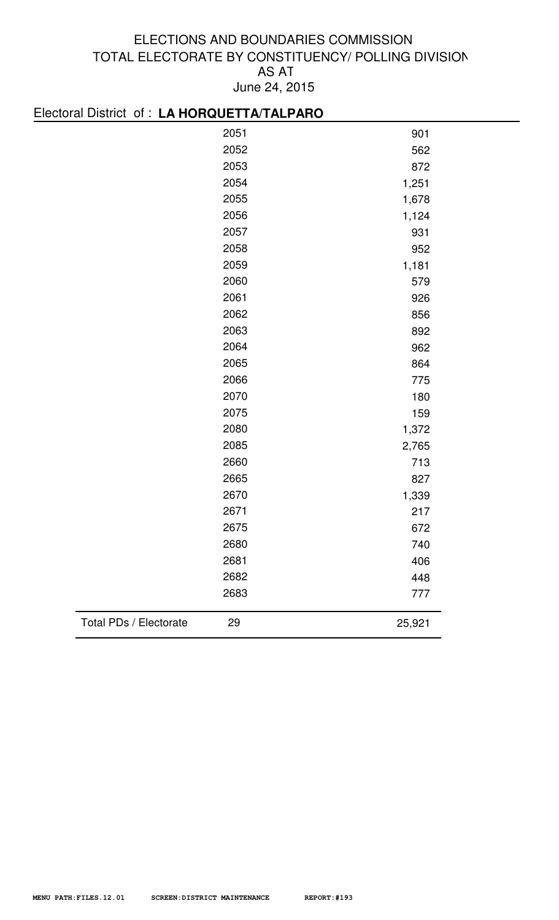# Electoral District of : **LA HORQUETTA/TALPARO**

|                        | 2051 | 901    |
|------------------------|------|--------|
|                        | 2052 | 562    |
|                        | 2053 | 872    |
|                        | 2054 | 1,251  |
|                        | 2055 | 1,678  |
|                        | 2056 | 1,124  |
|                        | 2057 | 931    |
|                        | 2058 | 952    |
|                        | 2059 | 1,181  |
|                        | 2060 | 579    |
|                        | 2061 | 926    |
|                        | 2062 | 856    |
|                        | 2063 | 892    |
|                        | 2064 | 962    |
|                        | 2065 | 864    |
|                        | 2066 | 775    |
|                        | 2070 | 180    |
|                        | 2075 | 159    |
|                        | 2080 | 1,372  |
|                        | 2085 | 2,765  |
|                        | 2660 | 713    |
|                        | 2665 | 827    |
|                        | 2670 | 1,339  |
|                        | 2671 | 217    |
|                        | 2675 | 672    |
|                        | 2680 | 740    |
|                        | 2681 | 406    |
|                        | 2682 | 448    |
|                        | 2683 | 777    |
| Total PDs / Electorate | 29   | 25,921 |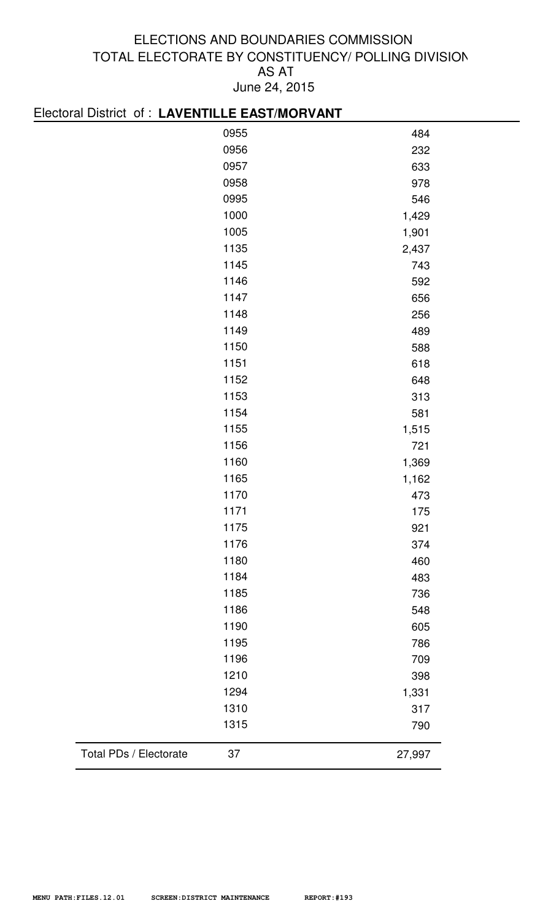# Electoral District of : **LAVENTILLE EAST/MORVANT**

| 0955 | 484   |
|------|-------|
| 0956 | 232   |
| 0957 | 633   |
| 0958 | 978   |
| 0995 | 546   |
| 1000 | 1,429 |
| 1005 | 1,901 |
| 1135 | 2,437 |
| 1145 | 743   |
| 1146 | 592   |
| 1147 | 656   |
| 1148 | 256   |
| 1149 | 489   |
| 1150 | 588   |
| 1151 | 618   |
| 1152 | 648   |
| 1153 | 313   |
| 1154 | 581   |
| 1155 | 1,515 |
| 1156 | 721   |
| 1160 | 1,369 |
| 1165 | 1,162 |
| 1170 | 473   |
| 1171 | 175   |
| 1175 | 921   |
| 1176 | 374   |
| 1180 | 460   |
| 1184 | 483   |
| 1185 | 736   |
| 1186 | 548   |
| 1190 | 605   |
| 1195 | 786   |
| 1196 | 709   |
| 1210 | 398   |
| 1294 | 1,331 |
| 1310 | 317   |
| 1315 | 790   |
|      |       |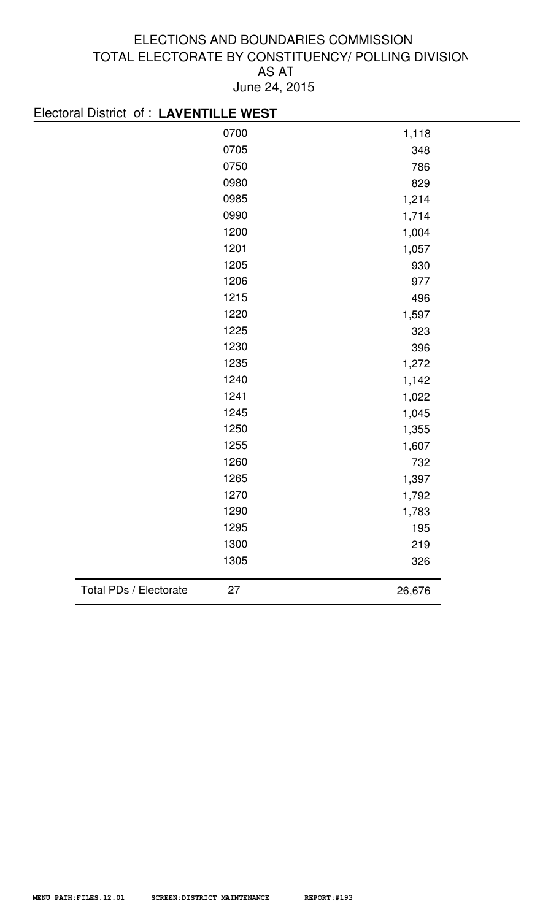| Electoral District of : LAVENTILLE WEST |        |
|-----------------------------------------|--------|
| 0700                                    | 1,118  |
| 0705                                    | 348    |
| 0750                                    | 786    |
| 0980                                    | 829    |
| 0985                                    | 1,214  |
| 0990                                    | 1,714  |
| 1200                                    | 1,004  |
| 1201                                    | 1,057  |
| 1205                                    | 930    |
| 1206                                    | 977    |
| 1215                                    | 496    |
| 1220                                    | 1,597  |
| 1225                                    | 323    |
| 1230                                    | 396    |
| 1235                                    | 1,272  |
| 1240                                    | 1,142  |
| 1241                                    | 1,022  |
| 1245                                    | 1,045  |
| 1250                                    | 1,355  |
| 1255                                    | 1,607  |
| 1260                                    | 732    |
| 1265                                    | 1,397  |
| 1270                                    | 1,792  |
| 1290                                    | 1,783  |
| 1295                                    | 195    |
| 1300                                    | 219    |
| 1305                                    | 326    |
| Total PDs / Electorate<br>27            | 26,676 |
|                                         |        |

#### **MENU PATH:FILES.12.01 SCREEN:DISTRICT MAINTENANCE REPORT:#193**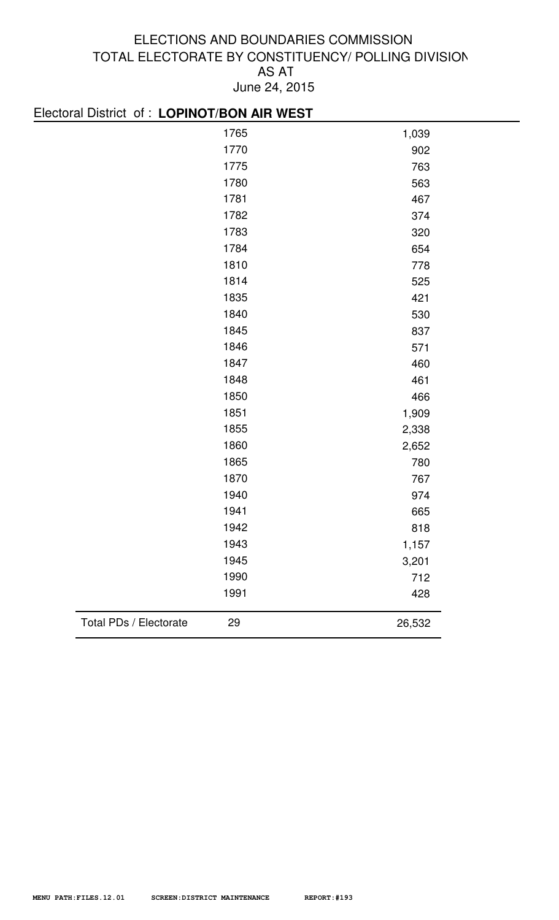| Electoral District of : LOPINOT/BON AIR WEST |        |  |
|----------------------------------------------|--------|--|
| 1765                                         | 1,039  |  |
| 1770                                         | 902    |  |
| 1775                                         | 763    |  |
| 1780                                         | 563    |  |
| 1781                                         | 467    |  |
| 1782                                         | 374    |  |
| 1783                                         | 320    |  |
| 1784                                         | 654    |  |
| 1810                                         | 778    |  |
| 1814                                         | 525    |  |
| 1835                                         | 421    |  |
| 1840                                         | 530    |  |
| 1845                                         | 837    |  |
| 1846                                         | 571    |  |
| 1847                                         | 460    |  |
| 1848                                         | 461    |  |
| 1850                                         | 466    |  |
| 1851                                         | 1,909  |  |
| 1855                                         | 2,338  |  |
| 1860                                         | 2,652  |  |
| 1865                                         | 780    |  |
| 1870                                         | 767    |  |
| 1940                                         | 974    |  |
| 1941                                         | 665    |  |
| 1942                                         | 818    |  |
| 1943                                         | 1,157  |  |
| 1945                                         | 3,201  |  |
| 1990                                         | 712    |  |
| 1991                                         | 428    |  |
| Total PDs / Electorate<br>29                 | 26,532 |  |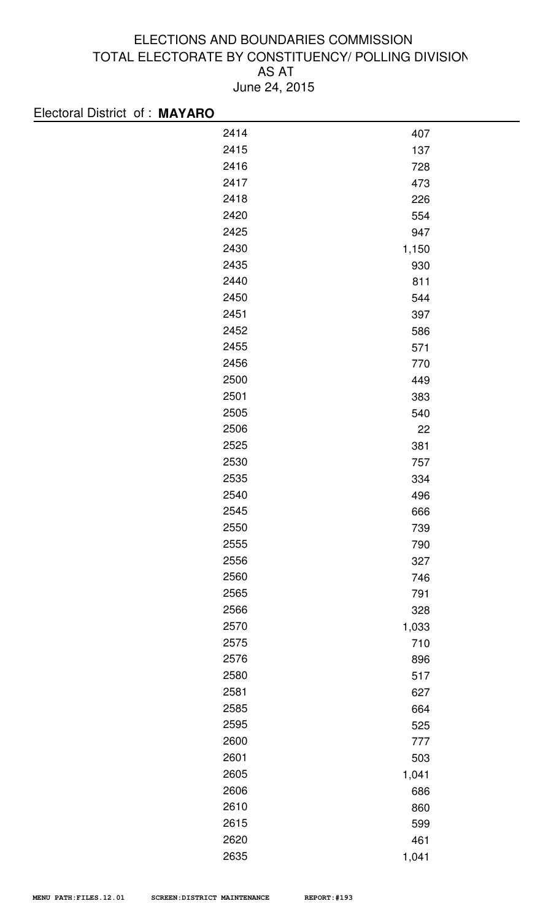| Electoral District of: MAYARO |      |       |
|-------------------------------|------|-------|
|                               | 2414 | 407   |
|                               | 2415 | 137   |
|                               | 2416 | 728   |
|                               | 2417 | 473   |
|                               | 2418 | 226   |
|                               | 2420 | 554   |
|                               | 2425 | 947   |
|                               | 2430 | 1,150 |
|                               | 2435 | 930   |
|                               | 2440 | 811   |
|                               | 2450 | 544   |
|                               | 2451 | 397   |
|                               | 2452 | 586   |
|                               | 2455 | 571   |
|                               | 2456 | 770   |
|                               | 2500 | 449   |
|                               | 2501 | 383   |
|                               | 2505 | 540   |
|                               | 2506 | 22    |
|                               | 2525 | 381   |
|                               | 2530 | 757   |
|                               | 2535 | 334   |
|                               | 2540 | 496   |
|                               | 2545 | 666   |
|                               | 2550 | 739   |
|                               | 2555 | 790   |
|                               | 2556 | 327   |
|                               | 2560 | 746   |
|                               | 2565 | 791   |
|                               | 2566 | 328   |
|                               | 2570 | 1,033 |
|                               | 2575 | 710   |
|                               | 2576 | 896   |
|                               | 2580 | 517   |
|                               | 2581 | 627   |
|                               | 2585 | 664   |
|                               | 2595 | 525   |
|                               | 2600 | 777   |
|                               | 2601 | 503   |
|                               | 2605 | 1,041 |
|                               | 2606 | 686   |
|                               | 2610 | 860   |
|                               | 2615 | 599   |
|                               | 2620 | 461   |
|                               | 2635 | 1,041 |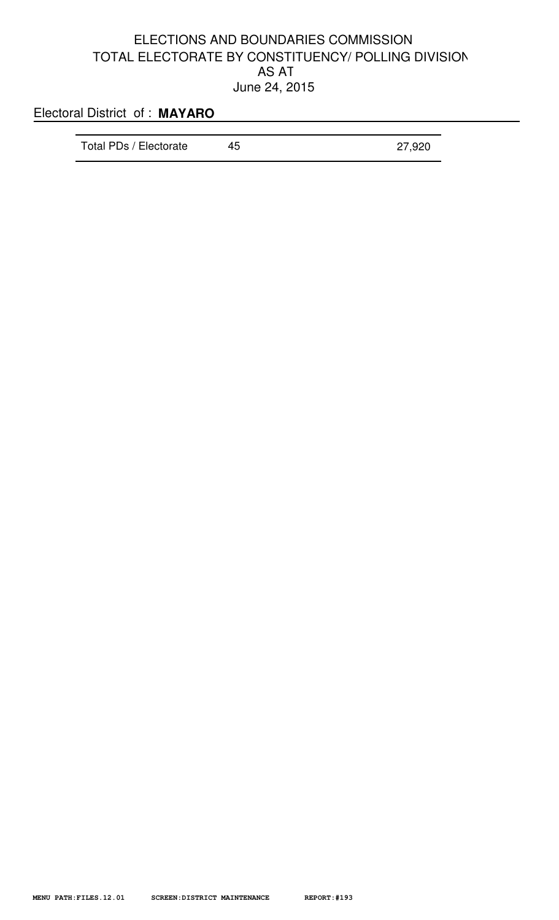<u> 1980 - Johann Barbara, martxa alemaniar a</u>

# Electoral District of : **MAYARO**

| Total PDs / Electorate | 45 | 27,920 |
|------------------------|----|--------|
|                        |    |        |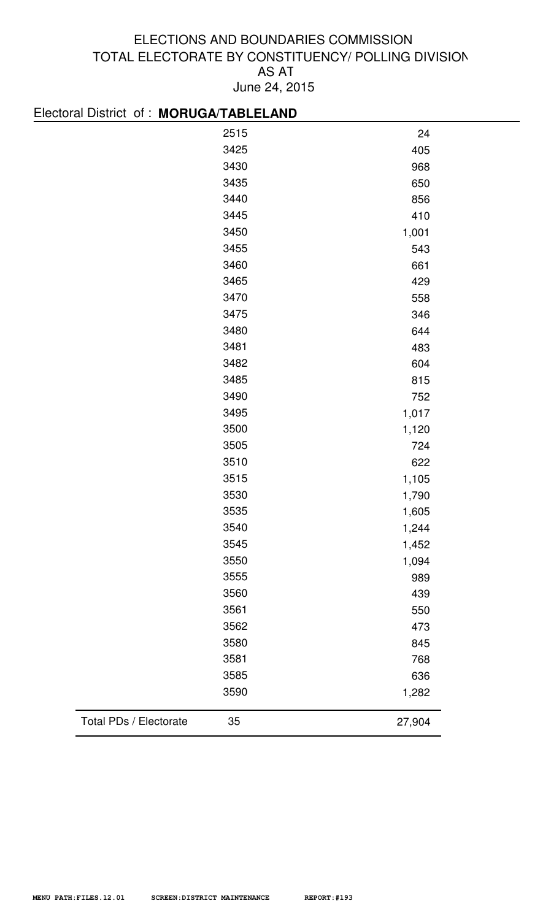| Electoral District of: MORUGA/TABLELAND |      |        |
|-----------------------------------------|------|--------|
|                                         | 2515 | 24     |
|                                         | 3425 | 405    |
|                                         | 3430 | 968    |
|                                         | 3435 | 650    |
|                                         | 3440 | 856    |
|                                         | 3445 | 410    |
|                                         | 3450 | 1,001  |
|                                         | 3455 | 543    |
|                                         | 3460 | 661    |
|                                         | 3465 | 429    |
|                                         | 3470 | 558    |
|                                         | 3475 | 346    |
|                                         | 3480 | 644    |
|                                         | 3481 | 483    |
|                                         | 3482 | 604    |
|                                         | 3485 | 815    |
|                                         | 3490 | 752    |
|                                         | 3495 | 1,017  |
|                                         | 3500 | 1,120  |
|                                         | 3505 | 724    |
|                                         | 3510 | 622    |
|                                         | 3515 | 1,105  |
|                                         | 3530 | 1,790  |
|                                         | 3535 | 1,605  |
|                                         | 3540 | 1,244  |
|                                         | 3545 | 1,452  |
|                                         | 3550 | 1,094  |
|                                         | 3555 | 989    |
|                                         | 3560 | 439    |
|                                         | 3561 | 550    |
|                                         | 3562 | 473    |
|                                         | 3580 | 845    |
|                                         | 3581 | 768    |
|                                         | 3585 | 636    |
|                                         | 3590 | 1,282  |
| Total PDs / Electorate                  | 35   | 27,904 |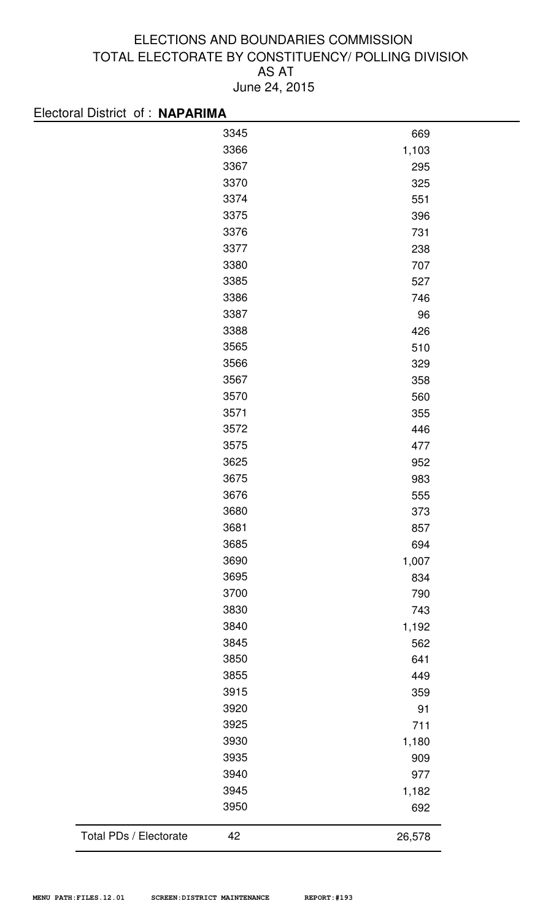| Electoral District of : NAPARIMA |      |       |
|----------------------------------|------|-------|
|                                  | 3345 | 669   |
|                                  | 3366 | 1,103 |
|                                  | 3367 | 295   |
|                                  | 3370 | 325   |
|                                  | 3374 | 551   |
|                                  | 3375 | 396   |
|                                  | 3376 | 731   |
|                                  | 3377 | 238   |
|                                  | 3380 | 707   |
|                                  | 3385 | 527   |
|                                  | 3386 | 746   |
|                                  | 3387 | 96    |
|                                  | 3388 | 426   |
|                                  | 3565 | 510   |
|                                  | 3566 | 329   |
|                                  | 3567 | 358   |
|                                  | 3570 | 560   |
|                                  | 3571 | 355   |
|                                  | 3572 | 446   |
|                                  | 3575 | 477   |
|                                  | 3625 | 952   |
|                                  | 3675 | 983   |
|                                  | 3676 | 555   |
|                                  | 3680 | 373   |
|                                  | 3681 | 857   |
|                                  | 3685 | 694   |
|                                  | 3690 | 1,007 |
|                                  | 3695 | 834   |
|                                  | 3700 | 790   |
|                                  | 3830 | 743   |
|                                  | 3840 | 1,192 |
|                                  | 3845 | 562   |
|                                  | 3850 | 641   |
|                                  | 3855 | 449   |
|                                  | 3915 | 359   |
|                                  | 3920 | 91    |
|                                  | 3925 | 711   |
|                                  | 3930 | 1,180 |
|                                  | 3935 | 909   |
|                                  | 3940 | 977   |
|                                  | 3945 | 1,182 |
|                                  | 3950 | 692   |
|                                  |      |       |

Total PDs / Electorate 42 26,578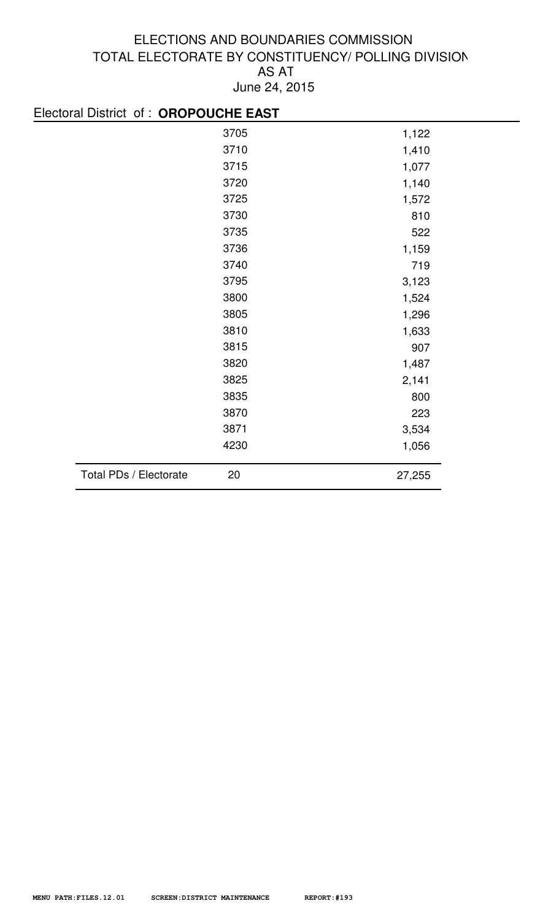| Electoral District of: OROPOUCHE EAST |        |
|---------------------------------------|--------|
| 3705                                  | 1,122  |
| 3710                                  | 1,410  |
| 3715                                  | 1,077  |
| 3720                                  | 1,140  |
| 3725                                  | 1,572  |
| 3730                                  | 810    |
| 3735                                  | 522    |
| 3736                                  | 1,159  |
| 3740                                  | 719    |
| 3795                                  | 3,123  |
| 3800                                  | 1,524  |
| 3805                                  | 1,296  |
| 3810                                  | 1,633  |
| 3815                                  | 907    |
| 3820                                  | 1,487  |
| 3825                                  | 2,141  |
| 3835                                  | 800    |
| 3870                                  | 223    |
| 3871                                  | 3,534  |
| 4230                                  | 1,056  |
| Total PDs / Electorate<br>20          | 27,255 |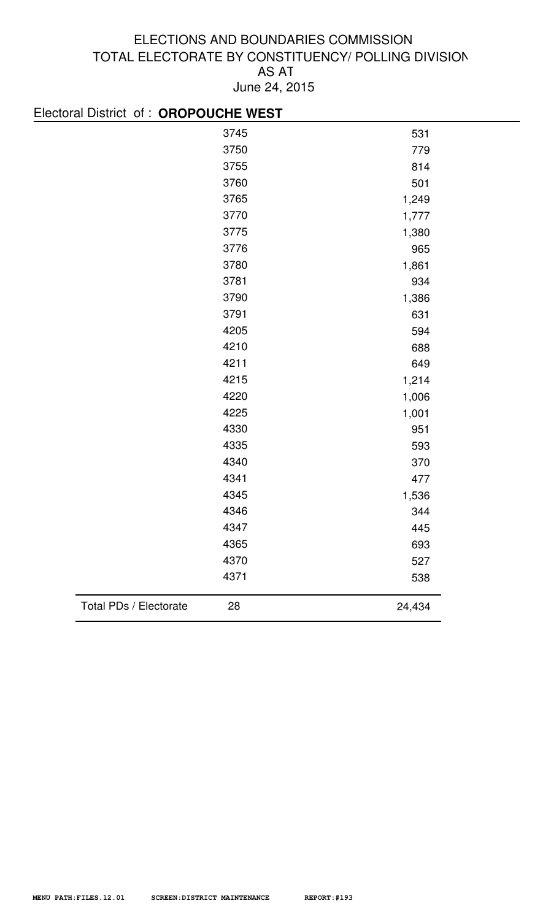| Electoral District of: OROPOUCHE WEST |      |        |
|---------------------------------------|------|--------|
|                                       | 3745 | 531    |
|                                       | 3750 | 779    |
|                                       | 3755 | 814    |
|                                       | 3760 | 501    |
|                                       | 3765 | 1,249  |
|                                       | 3770 | 1,777  |
|                                       | 3775 | 1,380  |
|                                       | 3776 | 965    |
|                                       | 3780 | 1,861  |
|                                       | 3781 | 934    |
|                                       | 3790 | 1,386  |
|                                       | 3791 | 631    |
|                                       | 4205 | 594    |
|                                       | 4210 | 688    |
|                                       | 4211 | 649    |
|                                       | 4215 | 1,214  |
|                                       | 4220 | 1,006  |
|                                       | 4225 | 1,001  |
|                                       | 4330 | 951    |
|                                       | 4335 | 593    |
|                                       | 4340 | 370    |
|                                       | 4341 | 477    |
|                                       | 4345 | 1,536  |
|                                       | 4346 | 344    |
|                                       | 4347 | 445    |
|                                       | 4365 | 693    |
|                                       | 4370 | 527    |
|                                       | 4371 | 538    |
| Total PDs / Electorate                | 28   | 24,434 |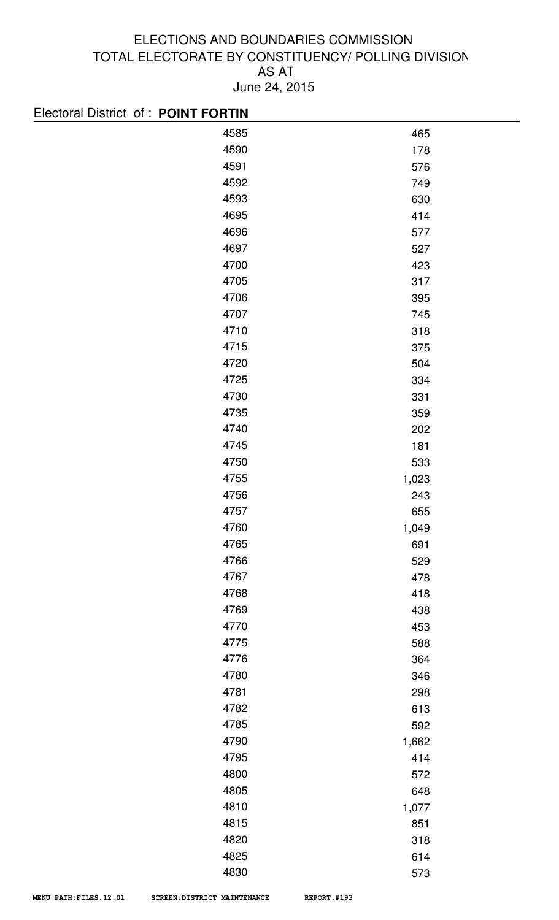| Electoral District of: POINT FORTIN |            |
|-------------------------------------|------------|
| 4585                                | 465        |
| 4590                                | 178        |
| 4591                                | 576        |
| 4592                                | 749        |
| 4593                                | 630        |
| 4695                                | 414        |
| 4696                                | 577        |
| 4697                                | 527        |
| 4700                                | 423        |
| 4705                                | 317        |
| 4706                                | 395        |
| 4707                                | 745        |
| 4710                                | 318        |
| 4715                                | 375        |
| 4720                                | 504        |
| 4725                                | 334        |
| 4730                                | 331        |
| 4735                                | 359        |
| 4740                                | 202        |
| 4745                                | 181        |
| 4750                                | 533        |
| 4755                                | 1,023      |
| 4756                                | 243        |
| 4757                                | 655        |
| 4760                                | 1,049      |
| 4765                                | 691        |
| 4766                                | 529        |
| 4767                                | 478        |
| 4768<br>4769                        | 418        |
| 4770                                | 438        |
| 4775                                | 453<br>588 |
| 4776                                | 364        |
| 4780                                | 346        |
| 4781                                | 298        |
| 4782                                | 613        |
| 4785                                | 592        |
| 4790                                | 1,662      |
| 4795                                | 414        |
| 4800                                | 572        |
| 4805                                | 648        |
| 4810                                | 1,077      |
| 4815                                | 851        |
| 4820                                | 318        |
| 4825                                | 614        |
| 4830                                | 573        |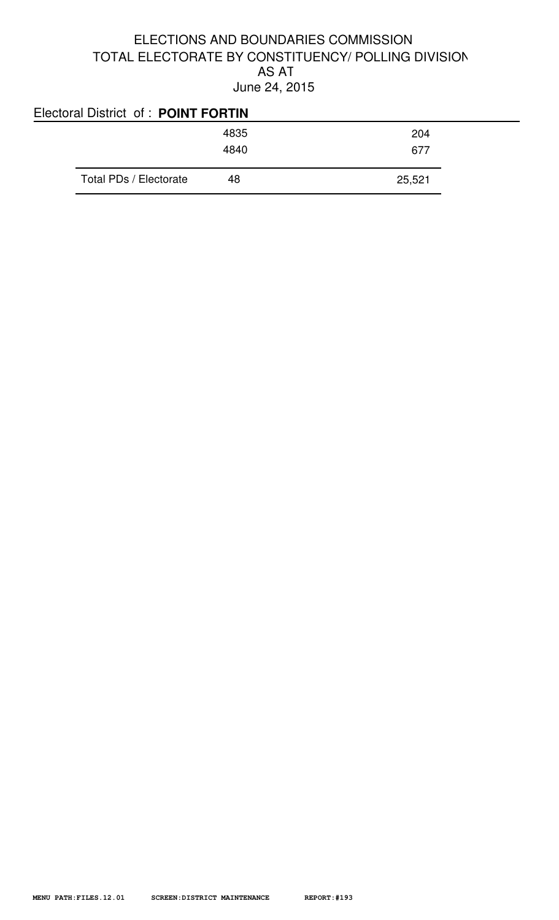| Electoral District of: POINT FORTIN |      |        |
|-------------------------------------|------|--------|
|                                     | 4835 | 204    |
|                                     | 4840 | 677    |
| Total PDs / Electorate              | 48   | 25,521 |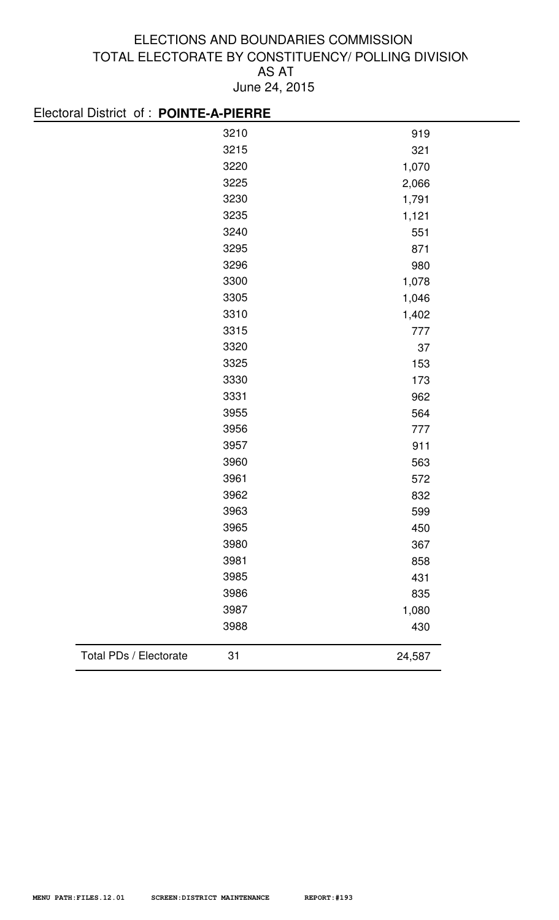| Electoral District of : POINTE-A-PIERRE |      |        |
|-----------------------------------------|------|--------|
|                                         | 3210 | 919    |
|                                         | 3215 | 321    |
|                                         | 3220 | 1,070  |
|                                         | 3225 | 2,066  |
|                                         | 3230 | 1,791  |
|                                         | 3235 | 1,121  |
|                                         | 3240 | 551    |
|                                         | 3295 | 871    |
|                                         | 3296 | 980    |
|                                         | 3300 | 1,078  |
|                                         | 3305 | 1,046  |
|                                         | 3310 | 1,402  |
|                                         | 3315 | 777    |
|                                         | 3320 | 37     |
|                                         | 3325 | 153    |
|                                         | 3330 | 173    |
|                                         | 3331 | 962    |
|                                         | 3955 | 564    |
|                                         | 3956 | 777    |
|                                         | 3957 | 911    |
|                                         | 3960 | 563    |
|                                         | 3961 | 572    |
|                                         | 3962 | 832    |
|                                         | 3963 | 599    |
|                                         | 3965 | 450    |
|                                         | 3980 | 367    |
|                                         | 3981 | 858    |
|                                         | 3985 | 431    |
|                                         | 3986 | 835    |
|                                         | 3987 | 1,080  |
|                                         | 3988 | 430    |
|                                         |      |        |
| Total PDs / Electorate                  | 31   | 24,587 |
|                                         |      |        |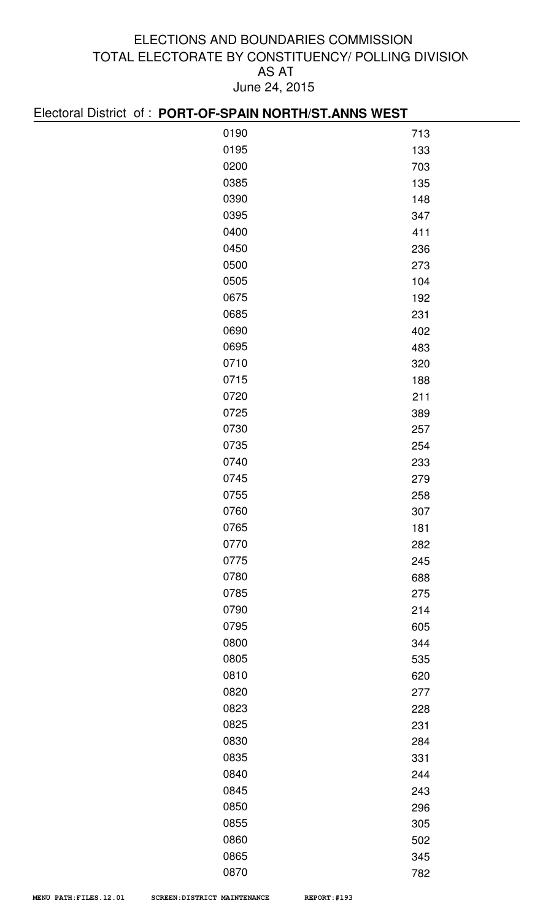| Electoral District of: PORT-OF-SPAIN NORTH/ST.ANNS WEST |     |  |  |
|---------------------------------------------------------|-----|--|--|
| 0190                                                    | 713 |  |  |
| 0195                                                    | 133 |  |  |
| 0200                                                    | 703 |  |  |
| 0385                                                    | 135 |  |  |
| 0390                                                    | 148 |  |  |
| 0395                                                    | 347 |  |  |
| 0400                                                    | 411 |  |  |
| 0450                                                    | 236 |  |  |
| 0500                                                    | 273 |  |  |
| 0505                                                    | 104 |  |  |
| 0675                                                    | 192 |  |  |
| 0685                                                    | 231 |  |  |
| 0690                                                    | 402 |  |  |
| 0695                                                    | 483 |  |  |
| 0710                                                    | 320 |  |  |
| 0715                                                    | 188 |  |  |
| 0720                                                    | 211 |  |  |
| 0725                                                    | 389 |  |  |
| 0730                                                    | 257 |  |  |
| 0735                                                    | 254 |  |  |
| 0740                                                    | 233 |  |  |
| 0745                                                    | 279 |  |  |
| 0755                                                    | 258 |  |  |
| 0760                                                    | 307 |  |  |
| 0765                                                    | 181 |  |  |
| 0770                                                    | 282 |  |  |
| 0775                                                    | 245 |  |  |
| 0780                                                    | 688 |  |  |
| 0785                                                    | 275 |  |  |
| 0790                                                    | 214 |  |  |
| 0795                                                    | 605 |  |  |
| 0800                                                    | 344 |  |  |
| 0805                                                    | 535 |  |  |
| 0810                                                    | 620 |  |  |
| 0820                                                    | 277 |  |  |
| 0823                                                    | 228 |  |  |
| 0825                                                    | 231 |  |  |
| 0830                                                    | 284 |  |  |
| 0835                                                    | 331 |  |  |
| 0840                                                    | 244 |  |  |
| 0845                                                    | 243 |  |  |
| 0850                                                    | 296 |  |  |
| 0855                                                    | 305 |  |  |
| 0860<br>0865                                            | 502 |  |  |
|                                                         | 345 |  |  |

782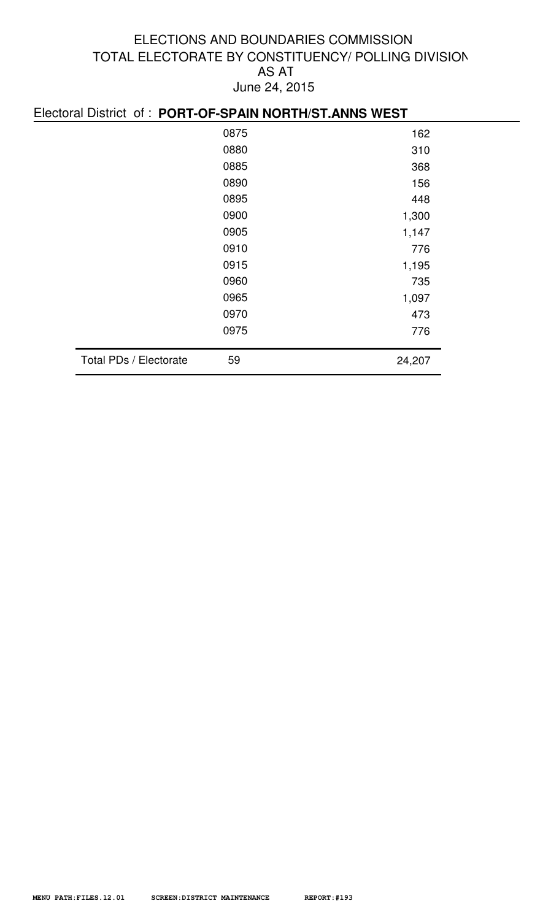|                        | EIGUUL DISTIUL UL. FUNT-UF-SFAIN NUNTHOLANNS WEST |        |  |  |
|------------------------|---------------------------------------------------|--------|--|--|
|                        | 0875<br>162                                       |        |  |  |
|                        | 0880                                              | 310    |  |  |
|                        | 0885                                              | 368    |  |  |
|                        | 0890                                              | 156    |  |  |
|                        | 0895                                              | 448    |  |  |
|                        | 0900                                              | 1,300  |  |  |
|                        | 0905                                              | 1,147  |  |  |
|                        | 0910                                              | 776    |  |  |
|                        | 0915                                              | 1,195  |  |  |
|                        | 0960                                              | 735    |  |  |
|                        | 0965                                              | 1,097  |  |  |
|                        | 0970                                              | 473    |  |  |
|                        | 0975                                              | 776    |  |  |
| Total PDs / Electorate | 59                                                | 24,207 |  |  |
|                        |                                                   |        |  |  |

#### Electoral District of : **PORT-OF-SPAIN NORTH/ST.ANNS WEST**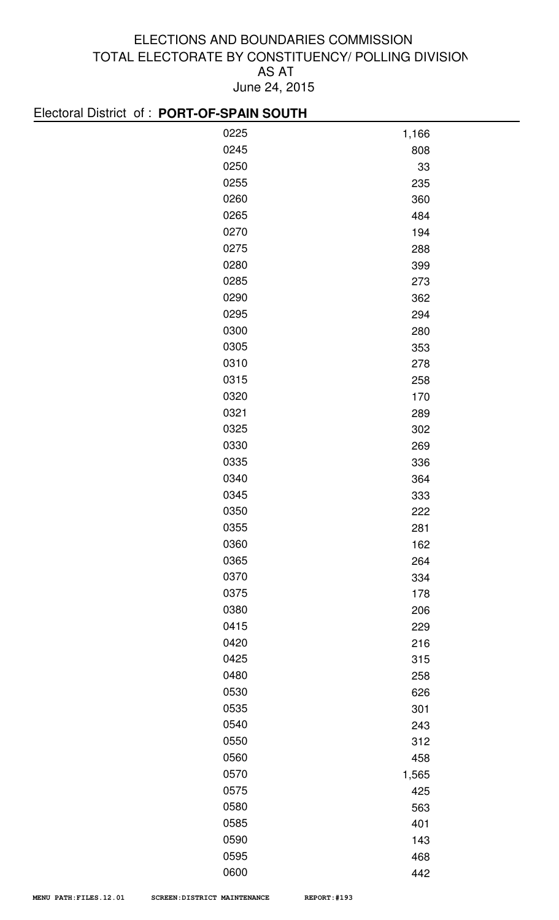#### Electoral District of : **PORT-OF-SPAIN SOUTH**

| <b>LICOLORUM DISTRICT OF LIGHT OF THE MINUSCHIP</b> |       |
|-----------------------------------------------------|-------|
| 0225                                                | 1,166 |
| 0245                                                | 808   |
| 0250                                                | 33    |
| 0255                                                | 235   |
| 0260                                                | 360   |
| 0265                                                | 484   |
| 0270                                                | 194   |
| 0275                                                | 288   |
| 0280                                                | 399   |
| 0285                                                | 273   |
| 0290                                                | 362   |
| 0295                                                | 294   |
| 0300                                                | 280   |
| 0305                                                | 353   |
| 0310                                                | 278   |
| 0315                                                | 258   |
| 0320                                                | 170   |
| 0321                                                | 289   |
| 0325                                                | 302   |
| 0330                                                | 269   |
| 0335                                                | 336   |
| 0340                                                | 364   |
| 0345                                                | 333   |
| 0350                                                | 222   |
| 0355                                                | 281   |
| 0360                                                | 162   |
| 0365                                                | 264   |
| 0370                                                | 334   |
| 0375                                                | 178   |
| 0380                                                | 206   |
| 0415                                                | 229   |
| 0420                                                | 216   |
| 0425                                                | 315   |
| 0480                                                | 258   |
| 0530                                                | 626   |
| 0535                                                | 301   |
| 0540                                                | 243   |
| 0550                                                | 312   |
| 0560                                                | 458   |
| 0570                                                | 1,565 |
| 0575                                                | 425   |
| 0580                                                | 563   |
| 0585                                                | 401   |
| 0590                                                | 143   |
| 0595                                                | 468   |
| 0600                                                | 442   |
|                                                     |       |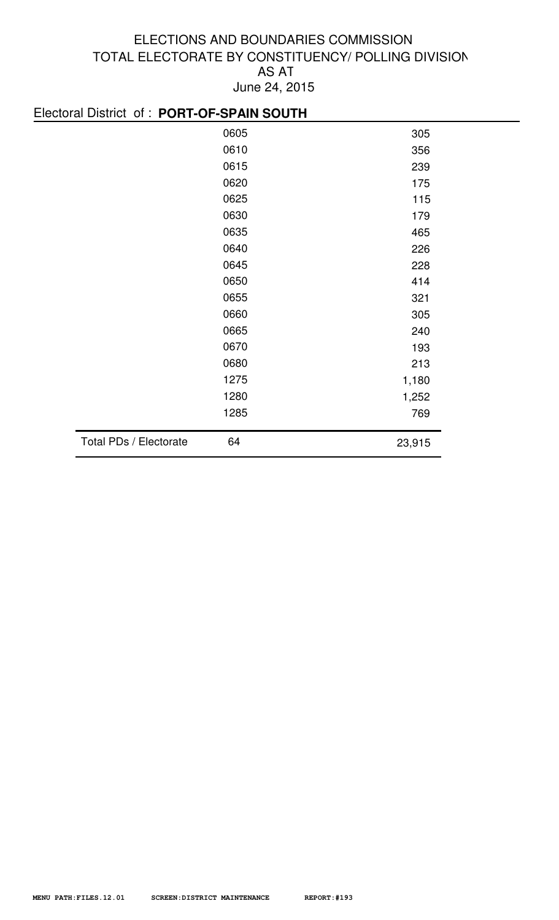#### Electoral District of : **PORT-OF-SPAIN SOUTH**

|                        | 0605 | 305    |
|------------------------|------|--------|
|                        | 0610 | 356    |
|                        | 0615 | 239    |
|                        | 0620 | 175    |
|                        | 0625 | 115    |
|                        | 0630 | 179    |
|                        | 0635 | 465    |
|                        | 0640 | 226    |
|                        | 0645 | 228    |
|                        | 0650 | 414    |
|                        | 0655 | 321    |
|                        | 0660 | 305    |
|                        | 0665 | 240    |
|                        | 0670 | 193    |
|                        | 0680 | 213    |
|                        | 1275 | 1,180  |
|                        | 1280 | 1,252  |
|                        | 1285 | 769    |
| Total PDs / Electorate | 64   | 23,915 |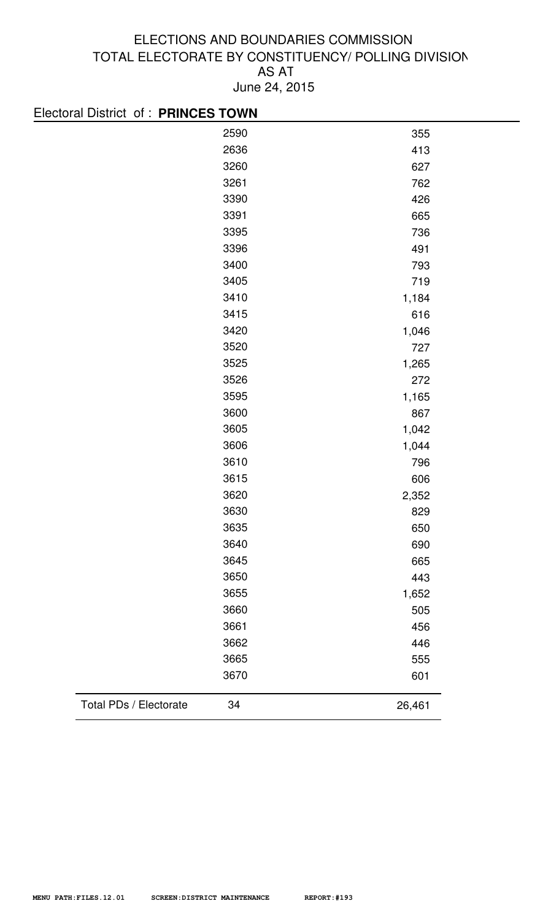| Electoral District of: PRINCES TOWN |      |        |
|-------------------------------------|------|--------|
|                                     | 2590 | 355    |
|                                     | 2636 | 413    |
|                                     | 3260 | 627    |
|                                     | 3261 | 762    |
|                                     | 3390 | 426    |
|                                     | 3391 | 665    |
|                                     | 3395 | 736    |
|                                     | 3396 | 491    |
|                                     | 3400 | 793    |
|                                     | 3405 | 719    |
|                                     | 3410 | 1,184  |
|                                     | 3415 | 616    |
|                                     | 3420 | 1,046  |
|                                     | 3520 | 727    |
|                                     | 3525 | 1,265  |
|                                     | 3526 | 272    |
|                                     | 3595 | 1,165  |
|                                     | 3600 | 867    |
|                                     | 3605 | 1,042  |
|                                     | 3606 | 1,044  |
|                                     | 3610 | 796    |
|                                     | 3615 | 606    |
|                                     | 3620 | 2,352  |
|                                     | 3630 | 829    |
|                                     | 3635 | 650    |
|                                     | 3640 | 690    |
|                                     | 3645 | 665    |
|                                     | 3650 | 443    |
|                                     | 3655 | 1,652  |
|                                     | 3660 | 505    |
|                                     | 3661 | 456    |
|                                     | 3662 | 446    |
|                                     | 3665 | 555    |
|                                     | 3670 | 601    |
| Total PDs / Electorate              | 34   | 26,461 |
|                                     |      |        |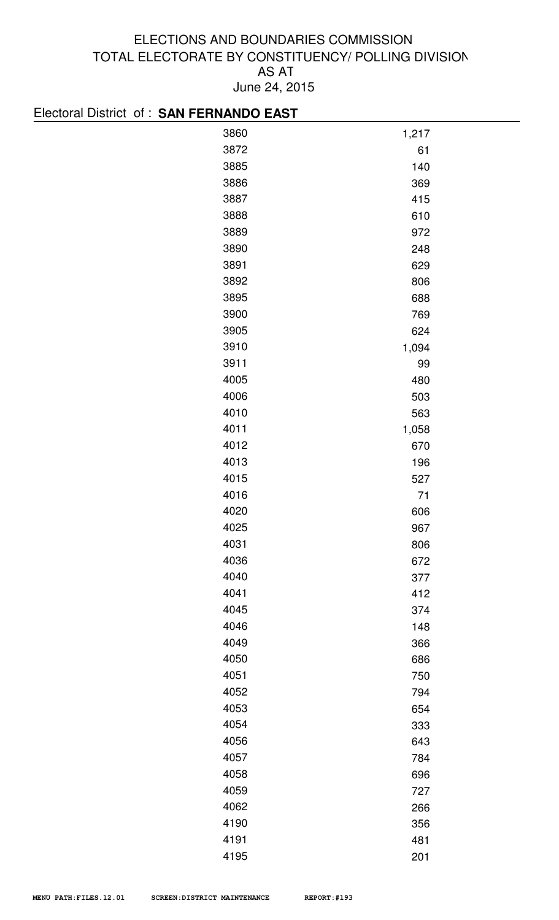# Electoral District of : **SAN FERNANDO EAST**

| $\sim$<br>$\sim$ $\sim$ $\sim$ $\sim$ $\sim$ $\sim$ $\sim$ $\sim$<br>$\sim$ case $\sim$ |       |
|-----------------------------------------------------------------------------------------|-------|
| 3860                                                                                    | 1,217 |
| 3872                                                                                    | 61    |
| 3885                                                                                    | 140   |
| 3886                                                                                    | 369   |
| 3887                                                                                    | 415   |
| 3888                                                                                    | 610   |
| 3889                                                                                    | 972   |
| 3890                                                                                    | 248   |
| 3891                                                                                    | 629   |
| 3892                                                                                    | 806   |
| 3895                                                                                    | 688   |
| 3900                                                                                    | 769   |
| 3905                                                                                    | 624   |
| 3910                                                                                    | 1,094 |
| 3911                                                                                    | 99    |
| 4005                                                                                    | 480   |
| 4006                                                                                    | 503   |
| 4010                                                                                    | 563   |
| 4011                                                                                    | 1,058 |
| 4012                                                                                    | 670   |
| 4013                                                                                    | 196   |
| 4015                                                                                    | 527   |
| 4016                                                                                    | $71$  |
| 4020                                                                                    | 606   |
| 4025                                                                                    | 967   |
| 4031                                                                                    | 806   |
| 4036                                                                                    | 672   |
| 4040                                                                                    | 377   |
| 4041                                                                                    | 412   |
| 4045                                                                                    | 374   |
| 4046                                                                                    | 148   |
| 4049                                                                                    | 366   |
| 4050                                                                                    | 686   |
| 4051                                                                                    | 750   |
| 4052                                                                                    | 794   |
| 4053                                                                                    | 654   |
| 4054                                                                                    | 333   |
| 4056                                                                                    | 643   |
| 4057                                                                                    | 784   |
| 4058                                                                                    | 696   |
| 4059                                                                                    | 727   |
| 4062                                                                                    | 266   |
| 4190                                                                                    | 356   |
| 4191                                                                                    | 481   |
| 4195                                                                                    | 201   |
|                                                                                         |       |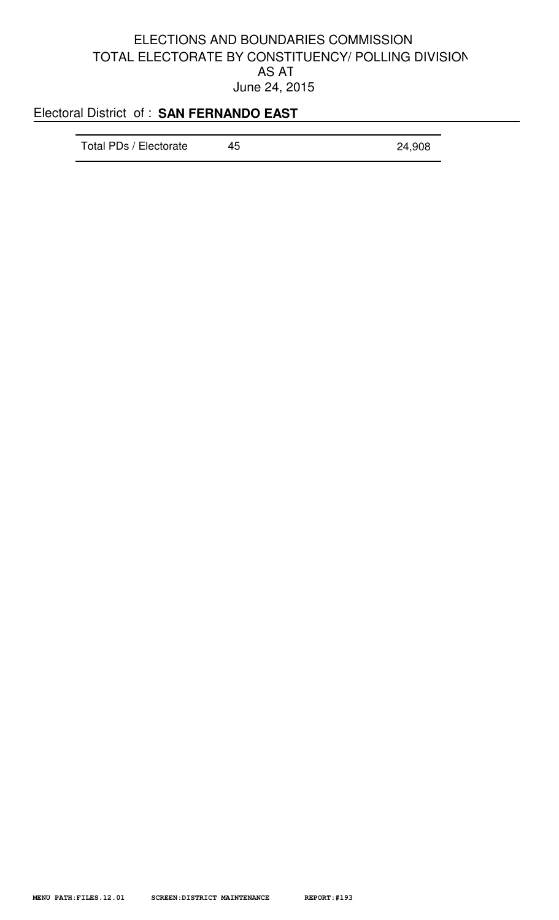# Electoral District of : **SAN FERNANDO EAST**

| Total PDs / Electorate<br>45<br>24,908 |  |
|----------------------------------------|--|
|----------------------------------------|--|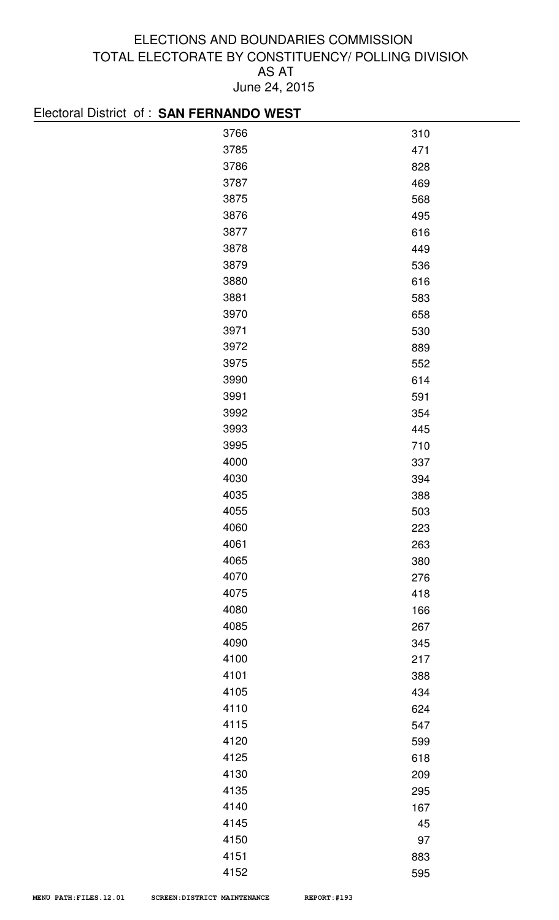| Electoral District of: SAN FERNANDO WEST |     |
|------------------------------------------|-----|
| 3766                                     | 310 |
| 3785                                     | 471 |
| 3786                                     | 828 |
| 3787                                     | 469 |
| 3875                                     | 568 |
| 3876                                     | 495 |
| 3877                                     | 616 |
| 3878                                     | 449 |
| 3879                                     | 536 |
| 3880                                     | 616 |
| 3881                                     | 583 |
| 3970                                     | 658 |
| 3971                                     | 530 |
| 3972                                     | 889 |
| 3975                                     | 552 |
| 3990                                     | 614 |
| 3991                                     | 591 |
| 3992                                     | 354 |
| 3993                                     | 445 |
| 3995                                     | 710 |
| 4000                                     | 337 |
| 4030                                     | 394 |
| 4035                                     | 388 |
| 4055                                     | 503 |
| 4060                                     | 223 |
| 4061                                     | 263 |
| 4065                                     | 380 |
| 4070                                     | 276 |
| 4075                                     | 418 |
| 4080                                     | 166 |
| 4085                                     | 267 |
| 4090                                     | 345 |
| 4100                                     | 217 |
| 4101                                     | 388 |
| 4105                                     | 434 |
| 4110                                     | 624 |
| 4115                                     | 547 |
| 4120                                     | 599 |
| 4125                                     | 618 |
| 4130                                     | 209 |
| 4135                                     | 295 |
| 4140                                     | 167 |
| 4145                                     | 45  |
| 4150                                     | 97  |
| 4151                                     | 883 |

595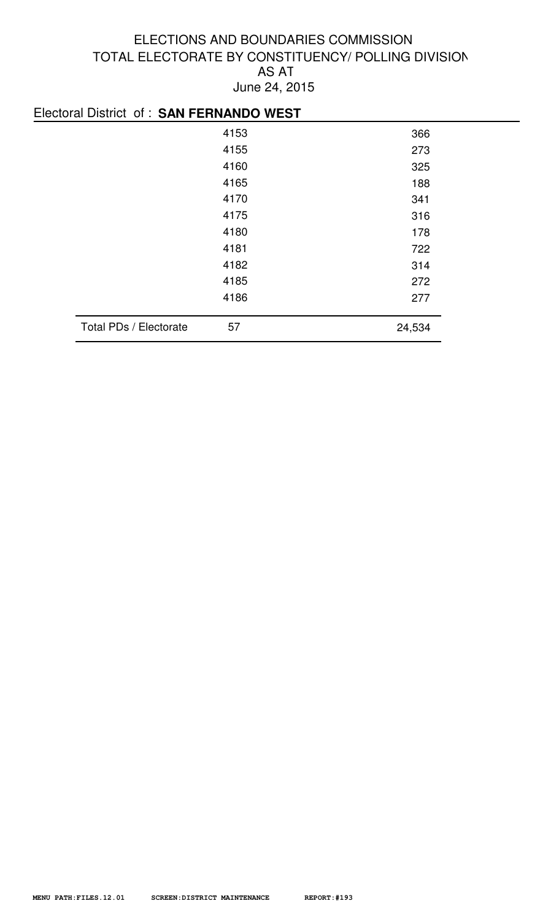|                        | Electoral District of: SAN FERNANDO WEST |        |  |
|------------------------|------------------------------------------|--------|--|
|                        | 4153                                     | 366    |  |
|                        | 4155                                     | 273    |  |
|                        | 4160                                     | 325    |  |
|                        | 4165                                     | 188    |  |
|                        | 4170                                     | 341    |  |
|                        | 4175                                     | 316    |  |
|                        | 4180                                     | 178    |  |
|                        | 4181                                     | 722    |  |
|                        | 4182                                     | 314    |  |
|                        | 4185                                     | 272    |  |
|                        | 4186                                     | 277    |  |
| Total PDs / Electorate | 57                                       | 24,534 |  |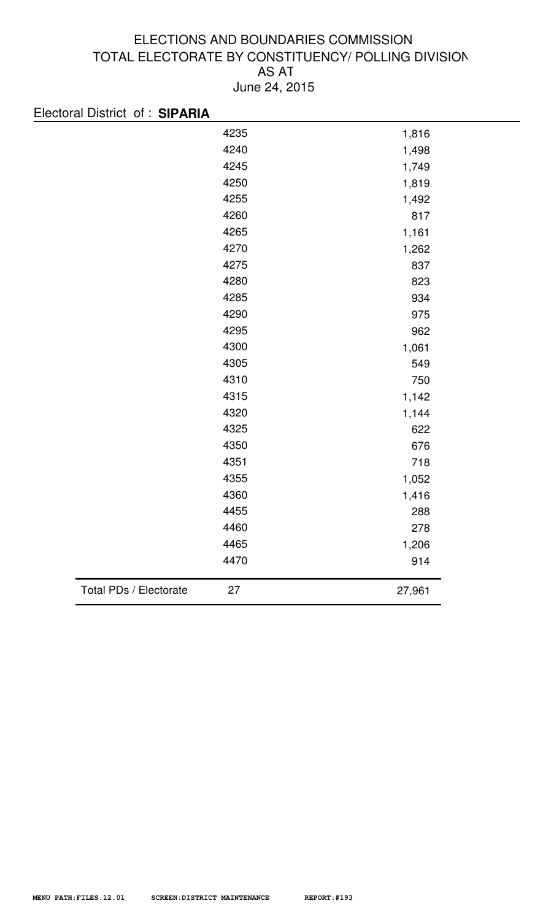|                        | 4235<br>4240<br>4245<br>4250<br>4255<br>4260<br>4265 | 1,816<br>1,498<br>1,749<br>1,819<br>1,492<br>817 |
|------------------------|------------------------------------------------------|--------------------------------------------------|
|                        |                                                      |                                                  |
|                        |                                                      |                                                  |
|                        |                                                      |                                                  |
|                        |                                                      |                                                  |
|                        |                                                      |                                                  |
|                        |                                                      |                                                  |
|                        |                                                      | 1,161                                            |
|                        | 4270                                                 | 1,262                                            |
|                        | 4275                                                 | 837                                              |
|                        | 4280                                                 | 823                                              |
|                        | 4285                                                 | 934                                              |
|                        | 4290                                                 | 975                                              |
|                        | 4295                                                 | 962                                              |
|                        | 4300                                                 | 1,061                                            |
|                        | 4305                                                 | 549                                              |
|                        | 4310                                                 | 750                                              |
|                        | 4315                                                 | 1,142                                            |
|                        | 4320                                                 | 1,144                                            |
|                        | 4325                                                 | 622                                              |
|                        | 4350                                                 | 676                                              |
|                        | 4351                                                 | 718                                              |
|                        | 4355                                                 | 1,052                                            |
|                        | 4360                                                 | 1,416                                            |
|                        | 4455                                                 | 288                                              |
|                        | 4460                                                 | 278                                              |
|                        | 4465                                                 | 1,206                                            |
|                        | 4470                                                 | 914                                              |
| Total PDs / Electorate | 27                                                   | 27,961                                           |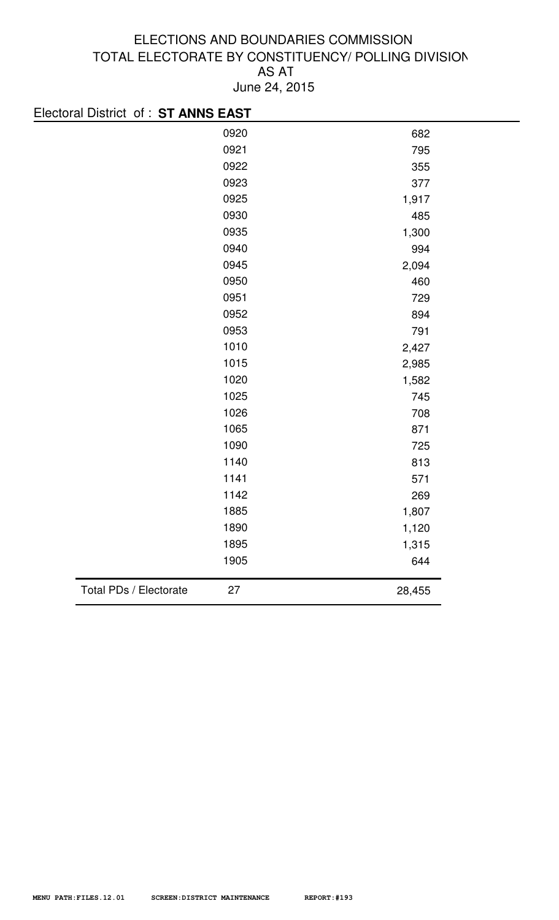| Electoral District of : ST ANNS EAST |      |        |
|--------------------------------------|------|--------|
|                                      | 0920 | 682    |
|                                      | 0921 | 795    |
|                                      | 0922 | 355    |
|                                      | 0923 | 377    |
|                                      | 0925 | 1,917  |
|                                      | 0930 | 485    |
|                                      | 0935 | 1,300  |
|                                      | 0940 | 994    |
|                                      | 0945 | 2,094  |
|                                      | 0950 | 460    |
|                                      | 0951 | 729    |
|                                      | 0952 | 894    |
|                                      | 0953 | 791    |
|                                      | 1010 | 2,427  |
|                                      | 1015 | 2,985  |
|                                      | 1020 | 1,582  |
|                                      | 1025 | 745    |
|                                      | 1026 | 708    |
|                                      | 1065 | 871    |
|                                      | 1090 | 725    |
|                                      | 1140 | 813    |
|                                      | 1141 | 571    |
|                                      | 1142 | 269    |
|                                      | 1885 | 1,807  |
|                                      | 1890 | 1,120  |
|                                      | 1895 | 1,315  |
|                                      | 1905 | 644    |
| Total PDs / Electorate               | 27   | 28,455 |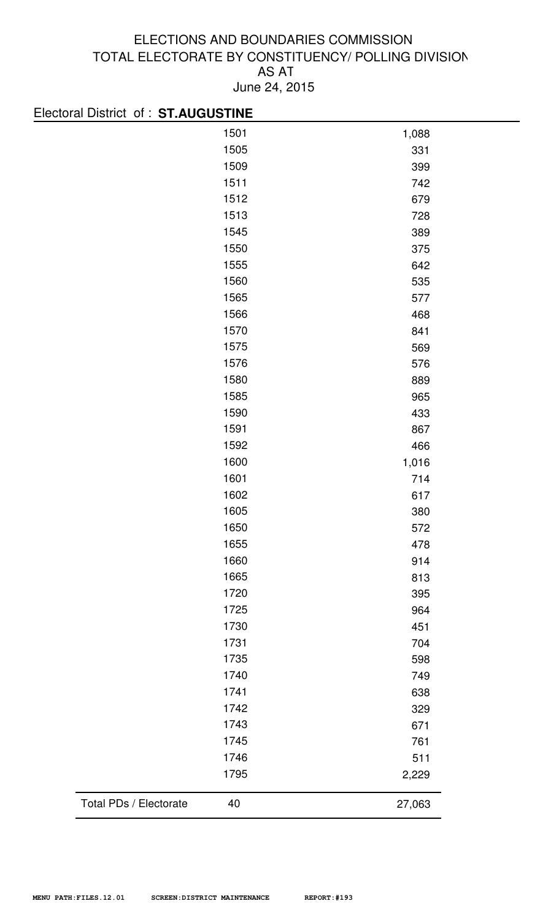| Electoral District of: ST.AUGUSTINE |       |
|-------------------------------------|-------|
| 1501                                | 1,088 |
| 1505                                | 331   |
| 1509                                | 399   |
| 1511                                | 742   |
| 1512                                | 679   |
| 1513                                | 728   |
| 1545                                | 389   |
| 1550                                | 375   |
| 1555                                | 642   |
| 1560                                | 535   |
| 1565                                | 577   |
| 1566                                | 468   |
| 1570                                | 841   |
| 1575                                | 569   |
| 1576                                | 576   |
| 1580                                | 889   |
| 1585                                | 965   |
| 1590                                | 433   |
| 1591                                | 867   |
| 1592                                | 466   |
| 1600                                | 1,016 |
| 1601                                | 714   |
| 1602                                | 617   |
| 1605                                | 380   |
| 1650                                | 572   |
| 1655                                | 478   |
| 1660                                | 914   |
| 1665                                | 813   |
| 1720                                | 395   |
| 1725                                | 964   |
| 1730                                | 451   |
| 1731                                | 704   |
| 1735                                | 598   |
| 1740                                | 749   |
| 1741                                | 638   |
| 1742                                | 329   |
| 1743                                | 671   |
| 1745                                | 761   |
| 1746                                | 511   |
| 1795                                | 2,229 |
|                                     |       |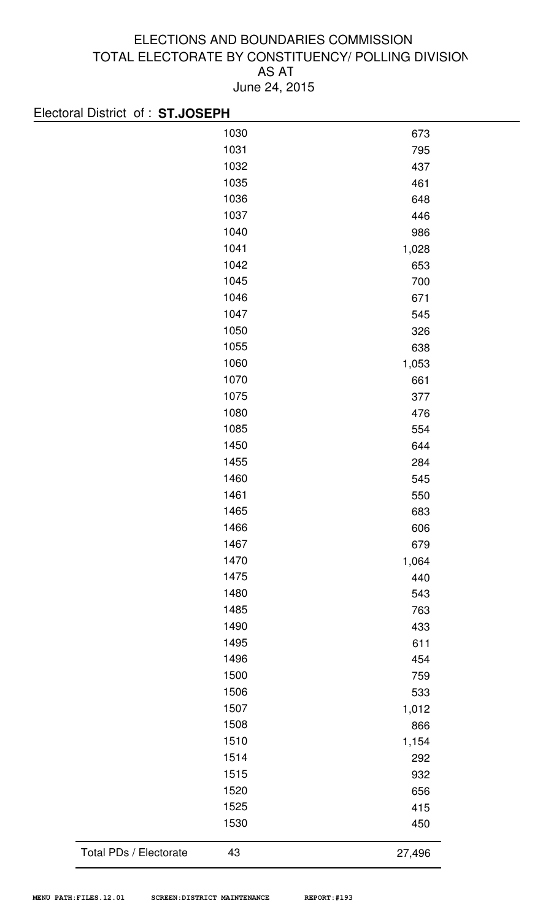| Electoral District of: ST.JOSEPH |              |              |
|----------------------------------|--------------|--------------|
|                                  | 1030         | 673          |
|                                  | 1031         | 795          |
|                                  | 1032         | 437          |
|                                  | 1035         | 461          |
|                                  | 1036         | 648          |
|                                  | 1037         | 446          |
|                                  | 1040         | 986          |
|                                  | 1041         | 1,028        |
|                                  | 1042         | 653          |
|                                  | 1045         | 700          |
|                                  | 1046         | 671          |
|                                  | 1047         | 545          |
|                                  | 1050         | 326          |
|                                  | 1055         | 638          |
|                                  | 1060         | 1,053        |
|                                  | 1070         | 661          |
|                                  | 1075         | 377          |
|                                  | 1080         | 476          |
|                                  | 1085         | 554          |
|                                  | 1450         | 644          |
|                                  | 1455         | 284          |
|                                  | 1460         | 545          |
|                                  | 1461         | 550          |
|                                  | 1465         | 683          |
|                                  | 1466         | 606          |
|                                  | 1467         | 679          |
|                                  | 1470         |              |
|                                  | 1475         | 1,064<br>440 |
|                                  | 1480         | 543          |
|                                  | 1485         | 763          |
|                                  | 1490         | 433          |
|                                  | 1495         | 611          |
|                                  | 1496         |              |
|                                  |              | 454          |
|                                  | 1500<br>1506 | 759          |
|                                  |              | 533          |
|                                  | 1507         | 1,012        |
|                                  | 1508         | 866          |
|                                  | 1510         | 1,154        |
|                                  | 1514         | 292          |
|                                  | 1515         | 932          |
|                                  | 1520         | 656          |
|                                  | 1525         | 415          |
|                                  | 1530         | 450          |
| Total PDs / Electorate           | 43           | 27,496       |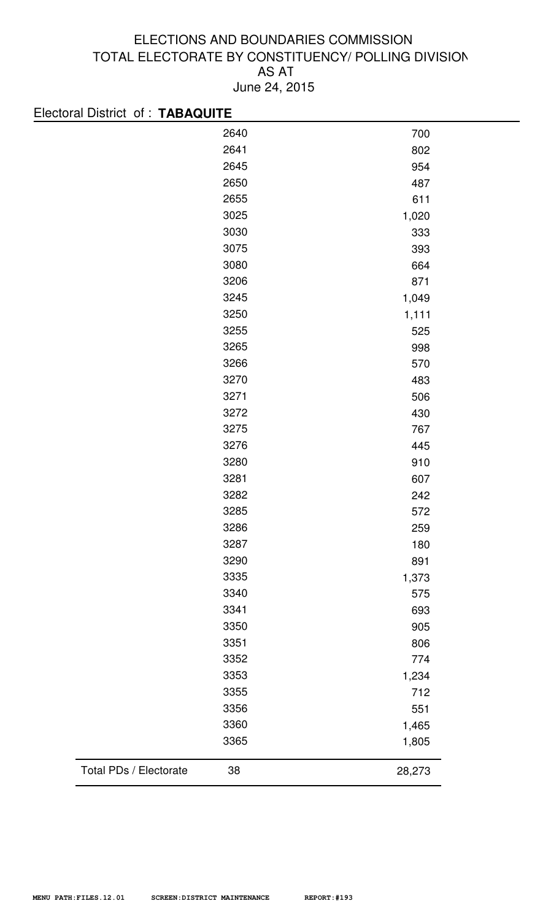| 2640 | 700   |
|------|-------|
| 2641 | 802   |
| 2645 | 954   |
| 2650 | 487   |
| 2655 | 611   |
| 3025 | 1,020 |
| 3030 | 333   |
| 3075 | 393   |
| 3080 | 664   |
| 3206 | 871   |
| 3245 | 1,049 |
| 3250 | 1,111 |
| 3255 | 525   |
| 3265 | 998   |
| 3266 | 570   |
| 3270 | 483   |
| 3271 | 506   |
| 3272 | 430   |
| 3275 | 767   |
| 3276 | 445   |
| 3280 | 910   |
| 3281 | 607   |
| 3282 | 242   |
| 3285 | 572   |
| 3286 | 259   |
| 3287 | 180   |
| 3290 | 891   |
| 3335 | 1,373 |
| 3340 | 575   |
| 3341 | 693   |
| 3350 | 905   |
| 3351 | 806   |
| 3352 | 774   |
| 3353 | 1,234 |
| 3355 | 712   |
| 3356 | 551   |
| 3360 | 1,465 |
| 3365 | 1,805 |
|      |       |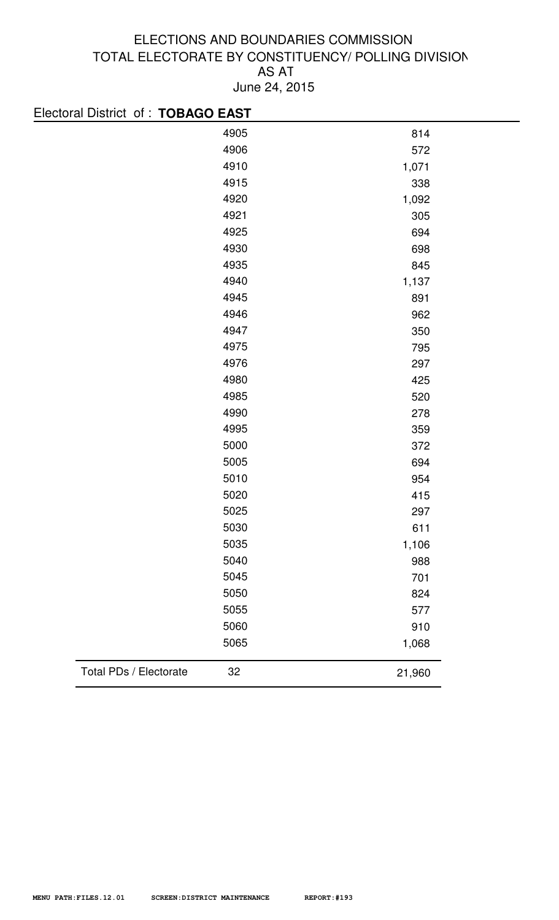|        | Electoral District of: TOBAGO EAST |
|--------|------------------------------------|
| 814    | 4905                               |
| 572    | 4906                               |
| 1,071  | 4910                               |
| 338    | 4915                               |
| 1,092  | 4920                               |
| 305    | 4921                               |
| 694    | 4925                               |
| 698    | 4930                               |
| 845    | 4935                               |
| 1,137  | 4940                               |
| 891    | 4945                               |
| 962    | 4946                               |
| 350    | 4947                               |
| 795    | 4975                               |
| 297    | 4976                               |
| 425    | 4980                               |
| 520    | 4985                               |
| 278    | 4990                               |
| 359    | 4995                               |
| 372    | 5000                               |
| 694    | 5005                               |
| 954    | 5010                               |
| 415    | 5020                               |
| 297    | 5025                               |
| 611    | 5030                               |
| 1,106  | 5035                               |
| 988    | 5040                               |
| 701    | 5045                               |
| 824    | 5050                               |
| 577    | 5055                               |
| 910    | 5060                               |
| 1,068  | 5065                               |
| 21,960 | Total PDs / Electorate<br>32       |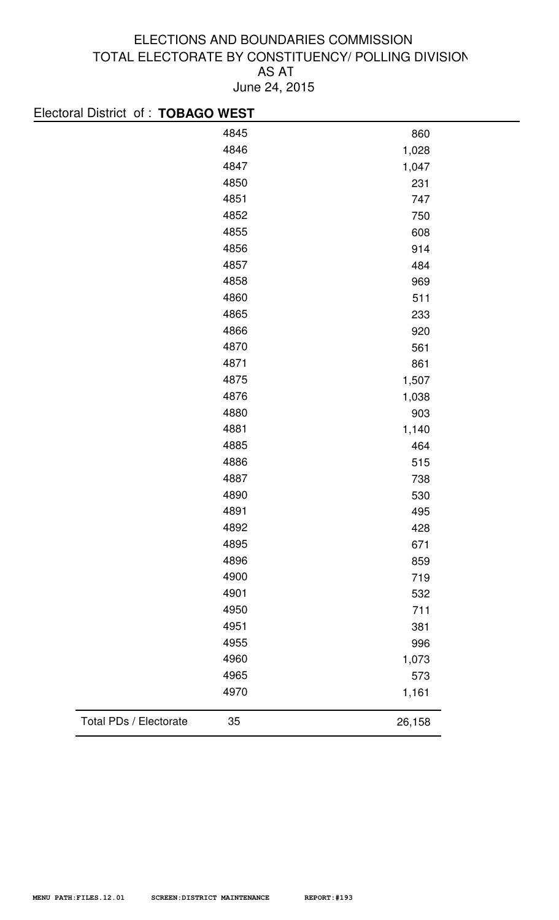| Electoral District of : TOBAGO WEST |        |
|-------------------------------------|--------|
| 4845                                | 860    |
| 4846                                | 1,028  |
| 4847                                | 1,047  |
| 4850                                | 231    |
| 4851                                | 747    |
| 4852                                | 750    |
| 4855                                | 608    |
| 4856                                | 914    |
| 4857                                | 484    |
| 4858                                | 969    |
| 4860                                | 511    |
| 4865                                | 233    |
| 4866                                | 920    |
| 4870                                | 561    |
| 4871                                | 861    |
| 4875                                | 1,507  |
| 4876                                | 1,038  |
| 4880                                | 903    |
| 4881                                | 1,140  |
| 4885                                | 464    |
| 4886                                | 515    |
| 4887                                | 738    |
| 4890                                | 530    |
| 4891                                | 495    |
| 4892                                | 428    |
| 4895                                | 671    |
| 4896                                | 859    |
| 4900                                | 719    |
| 4901                                | 532    |
| 4950                                | 711    |
| 4951                                | 381    |
| 4955                                | 996    |
| 4960                                | 1,073  |
| 4965                                | 573    |
| 4970                                | 1,161  |
| Total PDs / Electorate<br>35        | 26,158 |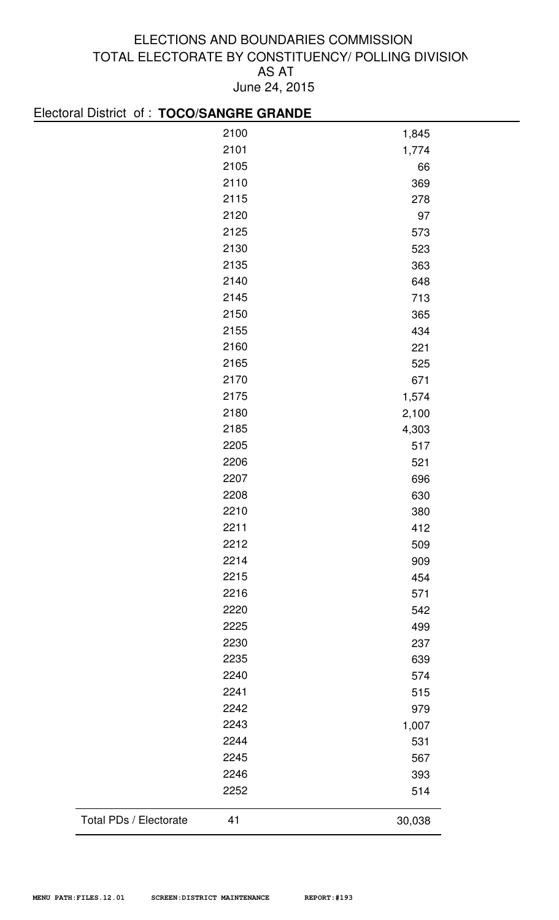| Electoral District of : TOCO/SANGRE GRANDE |      |        |
|--------------------------------------------|------|--------|
|                                            | 2100 | 1,845  |
|                                            | 2101 | 1,774  |
|                                            | 2105 | 66     |
|                                            | 2110 | 369    |
|                                            | 2115 | 278    |
|                                            | 2120 | 97     |
|                                            | 2125 | 573    |
|                                            | 2130 | 523    |
|                                            | 2135 | 363    |
|                                            | 2140 | 648    |
|                                            | 2145 | 713    |
|                                            | 2150 | 365    |
|                                            | 2155 | 434    |
|                                            | 2160 | 221    |
|                                            | 2165 | 525    |
|                                            | 2170 | 671    |
|                                            | 2175 | 1,574  |
|                                            | 2180 | 2,100  |
|                                            | 2185 | 4,303  |
|                                            | 2205 | 517    |
|                                            | 2206 | 521    |
|                                            | 2207 | 696    |
|                                            | 2208 | 630    |
|                                            | 2210 | 380    |
|                                            | 2211 | 412    |
|                                            | 2212 | 509    |
|                                            | 2214 | 909    |
|                                            | 2215 | 454    |
|                                            | 2216 | 571    |
|                                            | 2220 | 542    |
|                                            | 2225 | 499    |
|                                            | 2230 | 237    |
|                                            | 2235 | 639    |
|                                            | 2240 | 574    |
|                                            | 2241 | 515    |
|                                            | 2242 | 979    |
|                                            | 2243 | 1,007  |
|                                            | 2244 | 531    |
|                                            | 2245 | 567    |
|                                            | 2246 | 393    |
|                                            | 2252 | 514    |
| Total PDs / Electorate                     | 41   | 30,038 |
|                                            |      |        |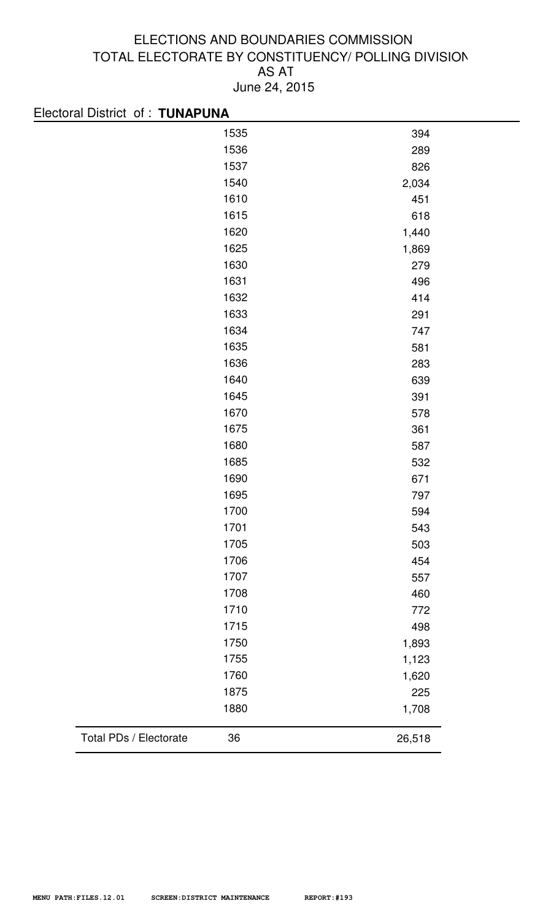| Electoral District of: TUNAPUNA |        |
|---------------------------------|--------|
| 1535                            | 394    |
| 1536                            | 289    |
| 1537                            | 826    |
| 1540                            | 2,034  |
| 1610                            | 451    |
| 1615                            | 618    |
| 1620                            | 1,440  |
| 1625                            | 1,869  |
| 1630                            | 279    |
| 1631                            | 496    |
| 1632                            | 414    |
| 1633                            | 291    |
| 1634                            | 747    |
| 1635                            | 581    |
| 1636                            | 283    |
| 1640                            | 639    |
| 1645                            | 391    |
| 1670                            | 578    |
| 1675                            | 361    |
| 1680                            | 587    |
| 1685                            | 532    |
| 1690                            | 671    |
| 1695                            | 797    |
| 1700                            | 594    |
| 1701                            | 543    |
| 1705                            | 503    |
| 1706                            | 454    |
| 1707                            | 557    |
| 1708                            | 460    |
| 1710                            | 772    |
| 1715                            | 498    |
| 1750                            | 1,893  |
| 1755                            | 1,123  |
| 1760                            | 1,620  |
| 1875                            | 225    |
| 1880                            | 1,708  |
| Total PDs / Electorate<br>36    | 26,518 |